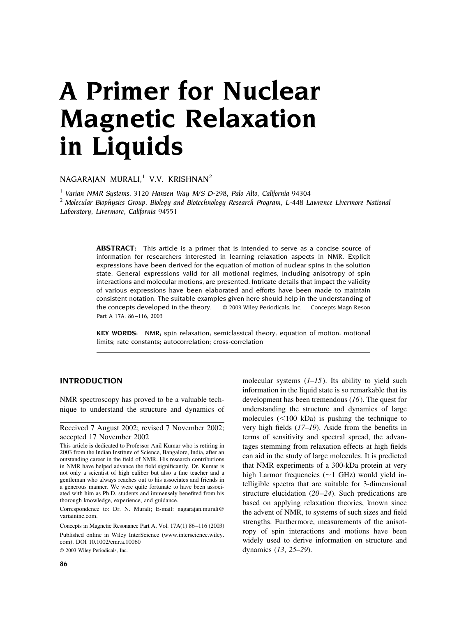# **A Primer for Nuclear Magnetic Relaxation in Liquids**

NAGARAJAN MURALI,<sup>1</sup> V.V. KRISHNAN<sup>2</sup>

<sup>1</sup> Varian NMR Systems, 3120 Hansen Way M/S D-298, Palo Alto, California 94304<br><sup>2</sup> Molecular Biophysics Group, Biology and Biotechnology Research Program, L-448 Lawrence Livermore National

*<sup>L</sup>aboratory, <sup>L</sup>ivermore, <sup>C</sup>alifornia 94551*

**ABSTRACT:** This article is a primer that is intended to serve as a concise source of information for researchers interested in learning relaxation aspects in NMR. Explicit expressions have been derived for the equation of motion of nuclear spins in the solution state. General expressions valid for all motional regimes, including anisotropy of spin interactions and molecular motions, are presented. Intricate details that impact the validity of various expressions have been elaborated and efforts have been made to maintain consistent notation. The suitable examples given here should help in the understanding of the concepts developed in the theory. © 2003 Wiley Periodicals, Inc. Concepts Magn Reson Part A 17A: 86–116, 2003

**KEY WORDS:** NMR; spin relaxation; semiclassical theory; equation of motion; motional limits; rate constants; autocorrelation; cross-correlation

#### **INTRODUCTION**

NMR spectroscopy has proved to be a valuable technique to understand the structure and dynamics of

This article is dedicated to Professor Anil Kumar who is retiring in 2003 from the Indian Institute of Science, Bangalore, India, after an outstanding career in the field of NMR. His research contributions in NMR have helped advance the field significantly. Dr. Kumar is not only a scientist of high caliber but also a fine teacher and a gentleman who always reaches out to his associates and friends in a generous manner. We were quite fortunate to have been associated with him as Ph.D. students and immensely benefited from his thorough knowledge, experience, and guidance.

Correspondence to: Dr. N. Murali; E-mail: nagarajan.murali@ variaininc.com.

Concepts in Magnetic Resonance Part A, Vol. 17A(1) 86–116 (2003) Published online in Wiley InterScience (www.interscience.wiley. com). DOI 10.1002/cmr.a.10060

© 2003 Wiley Periodicals, Inc.

molecular systems (*1–15*). Its ability to yield such information in the liquid state is so remarkable that its development has been tremendous (*16*). The quest for understanding the structure and dynamics of large molecules  $(<100$  kDa) is pushing the technique to very high fields (*17–19*). Aside from the benefits in terms of sensitivity and spectral spread, the advantages stemming from relaxation effects at high fields can aid in the study of large molecules. It is predicted that NMR experiments of a 300-kDa protein at very high Larmor frequencies  $(\sim 1$  GHz) would yield intelligible spectra that are suitable for 3-dimensional structure elucidation (*20–24*). Such predications are based on applying relaxation theories, known since the advent of NMR, to systems of such sizes and field strengths. Furthermore, measurements of the anisotropy of spin interactions and motions have been widely used to derive information on structure and dynamics (*13*, *25–29*).

Received 7 August 2002; revised 7 November 2002; accepted 17 November 2002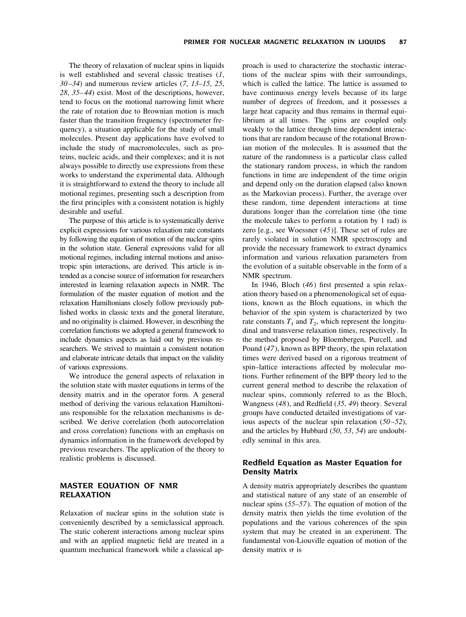The theory of relaxation of nuclear spins in liquids is well established and several classic treatises (*1*, *30–34*) and numerous review articles (*7*, *13–15*, *25*, *28*, *35–44*) exist. Most of the descriptions, however, tend to focus on the motional narrowing limit where the rate of rotation due to Brownian motion is much faster than the transition frequency (spectrometer frequency), a situation applicable for the study of small molecules. Present day applications have evolved to include the study of macromolecules, such as proteins, nucleic acids, and their complexes; and it is not always possible to directly use expressions from these works to understand the experimental data. Although it is straightforward to extend the theory to include all motional regimes, presenting such a description from the first principles with a consistent notation is highly desirable and useful.

The purpose of this article is to systematically derive explicit expressions for various relaxation rate constants by following the equation of motion of the nuclear spins in the solution state. General expressions valid for all motional regimes, including internal motions and anisotropic spin interactions, are derived. This article is intended as a concise source of information for researchers interested in learning relaxation aspects in NMR. The formulation of the master equation of motion and the relaxation Hamiltonians closely follow previously published works in classic texts and the general literature, and no originality is claimed. However, in describing the correlation functions we adopted a general framework to include dynamics aspects as laid out by previous researchers. We strived to maintain a consistent notation and elaborate intricate details that impact on the validity of various expressions.

We introduce the general aspects of relaxation in the solution state with master equations in terms of the density matrix and in the operator form. A general method of deriving the various relaxation Hamiltonians responsible for the relaxation mechanisms is described. We derive correlation (both autocorrelation and cross correlation) functions with an emphasis on dynamics information in the framework developed by previous researchers. The application of the theory to realistic problems is discussed.

# **MASTER EQUATION OF NMR RELAXATION**

Relaxation of nuclear spins in the solution state is conveniently described by a semiclassical approach. The static coherent interactions among nuclear spins and with an applied magnetic field are treated in a quantum mechanical framework while a classical approach is used to characterize the stochastic interactions of the nuclear spins with their surroundings, which is called the lattice. The lattice is assumed to have continuous energy levels because of its large number of degrees of freedom, and it possesses a large heat capacity and thus remains in thermal equilibrium at all times. The spins are coupled only weakly to the lattice through time dependent interactions that are random because of the rotational Brownian motion of the molecules. It is assumed that the nature of the randomness is a particular class called the stationary random process, in which the random functions in time are independent of the time origin and depend only on the duration elapsed (also known as the Markovian process). Further, the average over these random, time dependent interactions at time durations longer than the correlation time (the time the molecule takes to perform a rotation by 1 rad) is zero [e.g., see Woessner (*45*)]. These set of rules are rarely violated in solution NMR spectroscopy and provide the necessary framework to extract dynamics information and various relaxation parameters from the evolution of a suitable observable in the form of a NMR spectrum.

In 1946, Bloch (*46*) first presented a spin relaxation theory based on a phenomenological set of equations, known as the Bloch equations, in which the behavior of the spin system is characterized by two rate constants  $T_1$  and  $T_2$ , which represent the longitudinal and transverse relaxation times, respectively. In the method proposed by Bloembergen, Purcell, and Pound (*47*), known as BPP theory, the spin relaxation times were derived based on a rigorous treatment of spin–lattice interactions affected by molecular motions. Further refinement of the BPP theory led to the current general method to describe the relaxation of nuclear spins, commonly referred to as the Bloch, Wangness (*48*), and Redfield (*35*, *49*) theory. Several groups have conducted detailed investigations of various aspects of the nuclear spin relaxation (*50–52*), and the articles by Hubbard (*50*, *53*, *54*) are undoubtedly seminal in this area.

# **Redfield Equation as Master Equation for Density Matrix**

A density matrix appropriately describes the quantum and statistical nature of any state of an ensemble of nuclear spins (*55–57*). The equation of motion of the density matrix then yields the time evolution of the populations and the various coherences of the spin system that may be created in an experiment. The fundamental von-Liouville equation of motion of the density matrix  $\sigma$  is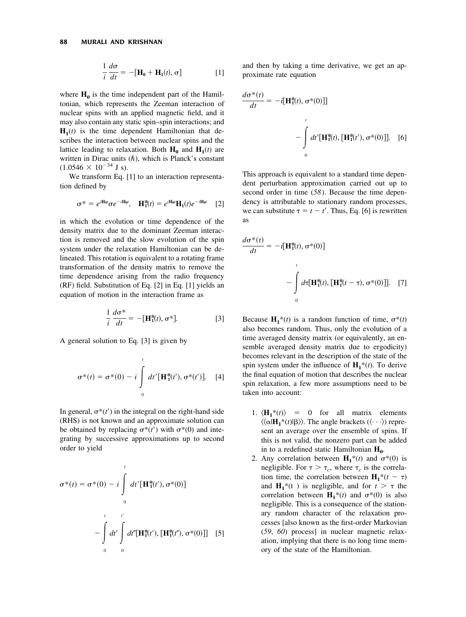$$
\frac{1}{i}\frac{d\sigma}{dt} = -[\mathbf{H}_0 + \mathbf{H}_1(t), \sigma] \quad [1]
$$

where  $H_0$  is the time independent part of the Hamiltonian, which represents the Zeeman interaction of nuclear spins with an applied magnetic field, and it may also contain any static spin–spin interactions; and  $H_1(t)$  is the time dependent Hamiltonian that describes the interaction between nuclear spins and the lattice leading to relaxation. Both  $H_0$  and  $H_1(t)$  are written in Dirac units  $(h)$ , which is Planck's constant  $(1.0546 \times 10^{-34} \text{ J s}).$ 

We transform Eq. [1] to an interaction representation defined by

$$
\sigma^* = e^{i\mathbf{H}_0 t} \sigma e^{-i\mathbf{H}_0 t}, \quad \mathbf{H}_1^*(t) = e^{i\mathbf{H}_0 t} \mathbf{H}_1(t) e^{-i\mathbf{H}_0 t} \quad [2]
$$

in which the evolution or time dependence of the density matrix due to the dominant Zeeman interaction is removed and the slow evolution of the spin system under the relaxation Hamiltonian can be delineated. This rotation is equivalent to a rotating frame transformation of the density matrix to remove the time dependence arising from the radio frequency (RF) field. Substitution of Eq. [2] in Eq. [1] yields an equation of motion in the interaction frame as

$$
\frac{1}{i}\frac{d\sigma^*}{dt} = -[\mathbf{H}_1^*(t), \sigma^*].
$$
 [3]

A general solution to Eq. [3] is given by

$$
\sigma^*(t) = \sigma^*(0) - i \int_0^t dt' [\mathbf{H}_1^*(t'), \sigma^*(t')]. \quad [4]
$$

In general,  $\sigma^*(t')$  in the integral on the right-hand side (RHS) is not known and an approximate solution can be obtained by replacing  $\sigma^*(t')$  with  $\sigma^*(0)$  and integrating by successive approximations up to second order to yield

$$
\sigma^*(t) = \sigma^*(0) - i \int_{0}^{t} dt' [\mathbf{H}_1^*(t'), \sigma^*(0)]
$$
  

$$
- \int_{0}^{t} dt' \int_{0}^{t'} dt'' [\mathbf{H}_1^*(t'), [\mathbf{H}_1^*(t''), \sigma^*(0)]] [5]
$$

and then by taking a time derivative, we get an approximate rate equation

$$
\frac{d\sigma^*(t)}{dt} = -i[\mathbf{H}_1^*(t), \sigma^*(0)]]
$$

$$
-\int_{0}^{t} dt'[\mathbf{H}_1^*(t), [\mathbf{H}_1^*(t'), \sigma^*(0)]]. \quad [6]
$$

This approach is equivalent to a standard time dependent perturbation approximation carried out up to second order in time (*58*). Because the time dependency is attributable to stationary random processes, we can substitute  $\tau = t - t'$ . Thus, Eq. [6] is rewritten as

$$
\frac{d\sigma^*(t)}{dt} = -i[\mathbf{H}_1^*(t), \sigma^*(0)]
$$

$$
-\int d\tau[\mathbf{H}_1^*(t), [\mathbf{H}_1^*(t-\tau), \sigma^*(0)]]. \quad [7]
$$

Because  $\mathbf{H_1}^*(t)$  is a random function of time,  $\sigma^*(t)$ also becomes random. Thus, only the evolution of a time averaged density matrix (or equivalently, an ensemble averaged density matrix due to ergodicity) becomes relevant in the description of the state of the spin system under the influence of  $\mathbf{H}_1^*(t)$ . To derive the final equation of motion that describes the nuclear spin relaxation, a few more assumptions need to be taken into account:

- 1.  $\langle \mathbf{H}_1^*(t) \rangle = 0$  for all matrix elements  $\langle\langle \alpha | \mathbf{H}_1^*(t) | \beta \rangle\rangle$ . The angle brackets  $(\langle \cdot \cdot \cdot \rangle)$  represent an average over the ensemble of spins. If this is not valid, the nonzero part can be added in to a redefined static Hamiltonian  $H_0$ .
- 2. Any correlation between  $H_1^*(t)$  and  $\sigma^*(0)$  is negligible. For  $\tau > \tau_c$ , where  $\tau_c$  is the correlation time, the correlation between  $H_1^*(t - \tau)$ and  $H_1^*(t)$  is negligible, and for  $t > \tau$  the correlation between  $H_1^*(t)$  and  $\sigma^*(0)$  is also negligible. This is a consequence of the stationary random character of the relaxation processes [also known as the first-order Markovian (*59*, *60*) process] in nuclear magnetic relaxation, implying that there is no long time memory of the state of the Hamiltonian.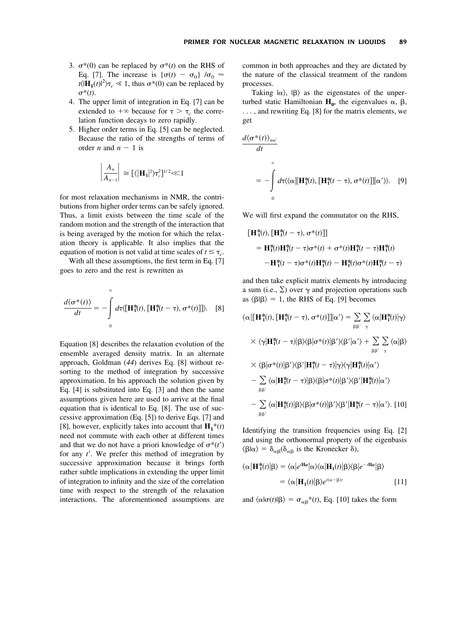- 3.  $\sigma^*(0)$  can be replaced by  $\sigma^*(t)$  on the RHS of Eq. [7]. The increase is  ${\{\sigma(t) - \sigma_0\}}/{\sigma_0} \approx$  $t\langle |\mathbf{H}_1(t)|^2 \rangle \tau_c \le 1$ , thus  $\sigma^*(0)$  can be replaced by  $\sigma^*(t)$ .
- 4. The upper limit of integration in Eq. [7] can be extended to  $+\infty$  because for  $\tau > \tau_c$  the correlation function decays to zero rapidly.
- 5. Higher order terms in Eq. [5] can be neglected. Because the ratio of the strengths of terms of order *n* and  $n - 1$  is

$$
\left|\frac{A_n}{A_{n-1}}\right| \cong \left[\langle|\mathbf{H}_1|^2\rangle \tau_c^2\right]^{1/2} \ll 1
$$

for most relaxation mechanisms in NMR, the contributions from higher order terms can be safely ignored. Thus, a limit exists between the time scale of the random motion and the strength of the interaction that is being averaged by the motion for which the relaxation theory is applicable. It also implies that the equation of motion is not valid at time scales of  $t \leq \tau_c$ .

With all these assumptions, the first term in Eq. [7] goes to zero and the rest is rewritten as

$$
\frac{d\langle \sigma^*(t)\rangle}{dt} = -\int\limits_0^\infty d\tau \langle \left[\mathbf{H}_1^*(t), \left[\mathbf{H}_1^*(t-\tau), \sigma^*(t)\right]\right]\rangle. \tag{8}
$$

Equation [8] describes the relaxation evolution of the ensemble averaged density matrix. In an alternate approach, Goldman (*44*) derives Eq. [8] without resorting to the method of integration by successive approximation. In his approach the solution given by Eq. [4] is substituted into Eq. [3] and then the same assumptions given here are used to arrive at the final equation that is identical to Eq. [8]. The use of successive approximation (Eq. [5]) to derive Eqs. [7] and [8], however, explicitly takes into account that  $\mathbf{H}_{1}^{*}(t)$ need not commute with each other at different times and that we do not have a priori knowledge of  $\sigma^*(t')$ for any *t*. We prefer this method of integration by successive approximation because it brings forth rather subtle implications in extending the upper limit of integration to infinity and the size of the correlation time with respect to the strength of the relaxation interactions. The aforementioned assumptions are common in both approaches and they are dictated by the nature of the classical treatment of the random processes.

Taking  $|\alpha\rangle$ ,  $|\beta\rangle$  as the eigenstates of the unperturbed static Hamiltonian  $H_0$ , the eigenvalues  $\alpha$ ,  $\beta$ , . . . , and rewriting Eq. [8] for the matrix elements, we get

$$
\frac{d\langle \sigma^*(t) \rangle_{\alpha\alpha'}}{dt}
$$
\n
$$
= -\int_{0}^{\infty} d\tau \langle \langle \alpha | [\mathbf{H}_1^*(t), [\mathbf{H}_1^*(t-\tau), \sigma^*(t)]] | \alpha' \rangle \rangle. \quad [9]
$$

We will first expand the commutator on the RHS,

$$
\begin{aligned} \left[\mathbf{H}_{1}^{*}(t),\left[\mathbf{H}_{1}^{*}(t-\tau),\,\sigma^{*}(t)\right]\right] \\ &= \mathbf{H}_{1}^{*}(t)\mathbf{H}_{1}^{*}(t-\tau)\sigma^{*}(t)+\sigma^{*}(t)\mathbf{H}_{1}^{*}(t-\tau)\mathbf{H}_{1}^{*}(t) \\ &- \mathbf{H}_{1}^{*}(t-\tau)\sigma^{*}(t)\mathbf{H}_{1}^{*}(t)-\mathbf{H}_{1}^{*}(t)\sigma^{*}(t)\mathbf{H}_{1}^{*}(t-\tau) \end{aligned}
$$

and then take explicit matrix elements by introducing a sum (i.e.,  $\Sigma$ ) over  $\gamma$  and projection operations such as  $\langle \beta | \beta \rangle = 1$ , the RHS of Eq. [9] becomes

$$
\langle \alpha | [\mathbf{H}_{1}^{*}(t), [\mathbf{H}_{1}^{*}(t-\tau), \sigma^{*}(t)]] | \alpha' \rangle = \sum_{\beta \beta'} \sum_{\gamma} \langle \alpha | \mathbf{H}_{1}^{*}(t) | \gamma \rangle
$$
  
 
$$
\times \langle \gamma | \mathbf{H}_{1}^{*}(t-\tau) | \beta \rangle \langle \beta | \sigma^{*}(t) | \beta' \rangle \langle \beta' | \alpha' \rangle + \sum_{\beta \beta'} \sum_{\gamma} \langle \alpha | \beta \rangle
$$
  
 
$$
\times \langle \beta | \sigma^{*}(t) | \beta' \rangle \langle \beta' | \mathbf{H}_{1}^{*}(t-\tau) | \gamma \rangle \langle \gamma | \mathbf{H}_{1}^{*}(t) | \alpha' \rangle
$$
  
 
$$
- \sum_{\beta \beta'} \langle \alpha | \mathbf{H}_{1}^{*}(t-\tau) | \beta \rangle \langle \beta | \sigma^{*}(t) | \beta' \rangle \langle \beta' | \mathbf{H}_{1}^{*}(t) | \alpha' \rangle
$$
  
 
$$
- \sum_{\beta \beta'} \langle \alpha | \mathbf{H}_{1}^{*}(t) | \beta \rangle \langle \beta | \sigma^{*}(t) | \beta' \rangle \langle \beta' | \mathbf{H}_{1}^{*}(t-\tau) | \alpha' \rangle. [10]
$$

Identifying the transition frequencies using Eq. [2] and using the orthonormal property of the eigenbasis  $\langle \beta | \alpha \rangle = \delta_{\alpha \beta} (\delta_{\alpha \beta} \text{ is the Kronecker } \delta),$ 

$$
\langle \alpha | \mathbf{H}_1^*(t) | \beta \rangle = \langle \alpha | e^{i \mathbf{H} \alpha t} | \alpha \rangle \langle \alpha | \mathbf{H}_1(t) | \beta \rangle \langle \beta | e^{-i \mathbf{H} \alpha t} | \beta \rangle
$$
  
= 
$$
\langle \alpha | \mathbf{H}_1(t) | \beta \rangle e^{i(\alpha - \beta)t}
$$
 [11]

and  $\langle \alpha | \sigma(t) | \beta \rangle = \sigma_{\alpha \beta} * (t)$ , Eq. [10] takes the form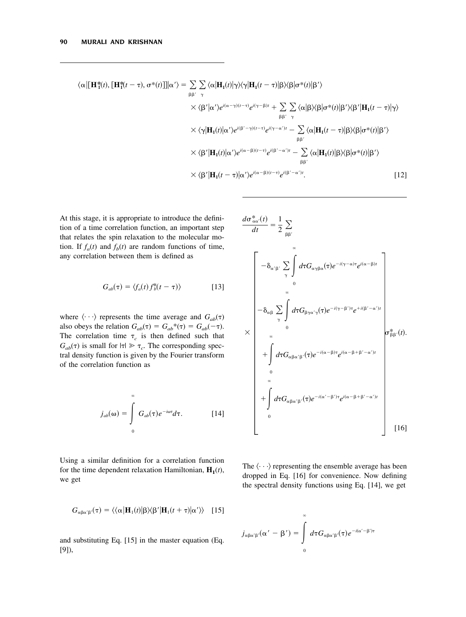$$
\langle \alpha | [\mathbf{H}_{1}^{*}(t), [\mathbf{H}_{1}^{*}(t-\tau), \sigma^{*}(t)]] | \alpha' \rangle = \sum_{\beta \beta'} \sum_{\gamma} \langle \alpha | \mathbf{H}_{1}(t) | \gamma \rangle \langle \gamma | \mathbf{H}_{1}(t-\tau) | \beta \rangle \langle \beta | \sigma^{*}(t) | \beta' \rangle
$$
  
\n
$$
\times \langle \beta' | \alpha' \rangle e^{i(\alpha-\gamma)(t-\tau)} e^{i(\gamma-\beta)t} + \sum_{\beta \beta'} \sum_{\gamma} \langle \alpha | \beta \rangle \langle \beta | \sigma^{*}(t) | \beta' \rangle \langle \beta' | \mathbf{H}_{1}(t-\tau) | \gamma \rangle
$$
  
\n
$$
\times \langle \gamma | \mathbf{H}_{1}(t) | \alpha' \rangle e^{i(\beta'-\gamma)(t-\tau)} e^{i(\gamma-\alpha')t} - \sum_{\beta \beta'} \langle \alpha | \mathbf{H}_{1}(t-\tau) | \beta \rangle \langle \beta | \sigma^{*}(t) | \beta' \rangle
$$
  
\n
$$
\times \langle \beta' | \mathbf{H}_{1}(t) | \alpha' \rangle e^{i(\alpha-\beta)(t-\tau)} e^{i(\beta'-\alpha')t} - \sum_{\beta \beta'} \langle \alpha | \mathbf{H}_{1}(t) | \beta \rangle \langle \beta | \sigma^{*}(t) | \beta' \rangle
$$
  
\n
$$
\times \langle \beta' | \mathbf{H}_{1}(t-\tau) | \alpha' \rangle e^{i(\alpha-\beta)(t-\tau)} e^{i(\beta'-\alpha')t}.
$$
 [12]

At this stage, it is appropriate to introduce the definition of a time correlation function, an important step that relates the spin relaxation to the molecular motion. If  $f_a(t)$  and  $f_b(t)$  are random functions of time, any correlation between them is defined as

$$
G_{ab}(\tau) = \langle f_a(t) f_b^*(t - \tau) \rangle \tag{13}
$$

where  $\langle \cdot \cdot \cdot \rangle$  represents the time average and  $G_{ab}(\tau)$ also obeys the relation  $G_{ab}(\tau) = G_{ab}^*(\tau) = G_{ab}(-\tau)$ . The correlation time  $\tau_c$  is then defined such that  $G_{ab}(\tau)$  is small for  $|\tau| \geq \tau_c$ . The corresponding spectral density function is given by the Fourier transform of the correlation function as

$$
j_{ab}(\omega) = \int_{0}^{\infty} G_{ab}(\tau) e^{-i\omega\tau} d\tau.
$$
 [14]

Using a similar definition for a correlation function for the time dependent relaxation Hamiltonian,  $H_1(t)$ , we get

$$
G_{\alpha\beta\alpha'\beta'}(\tau) = \langle \langle \alpha | \mathbf{H}_1(t) | \beta \rangle \langle \beta' | \mathbf{H}_1(t+\tau) | \alpha' \rangle \rangle \quad [15]
$$

and substituting Eq. [15] in the master equation (Eq. [9]),

$$
\frac{d\sigma_{\alpha\alpha'}^{*}(t)}{dt} = \frac{1}{2} \sum_{\beta\beta'} \sigma_{\alpha'\beta'} \sum_{\gamma} \int_{0}^{\infty} d\tau G_{\alpha\gamma\beta\alpha}(\tau) e^{-i(\gamma-\alpha)\tau} e^{i(\alpha-\beta)t}
$$
\n
$$
- \delta_{\alpha\beta} \sum_{\gamma} \int_{0}^{\infty} d\tau G_{\beta\gamma\alpha'\gamma}(\tau) e^{-i(\gamma-\beta')\tau} e^{+i(\beta'-\alpha')t}
$$
\n
$$
\times \int_{0}^{\infty} \int_{0}^{\infty} d\tau G_{\alpha\beta\alpha'\beta'}(\tau) e^{-i(\alpha-\beta)\tau} e^{i(\alpha-\beta+\beta'-\alpha')t}
$$
\n
$$
+ \int_{0}^{\infty} d\tau G_{\alpha\beta\alpha'\beta'}(\tau) e^{-i(\alpha'-\beta')\tau} e^{i(\alpha-\beta+\beta'-\alpha')t}
$$
\n
$$
+ \int_{0}^{\infty} d\tau G_{\alpha\beta\alpha'\beta'}(\tau) e^{-i(\alpha'-\beta')\tau} e^{i(\alpha-\beta+\beta'-\alpha')t}
$$
\n[16]

The  $\langle \cdot \cdot \cdot \rangle$  representing the ensemble average has been dropped in Eq. [16] for convenience. Now defining the spectral density functions using Eq. [14], we get

$$
j_{\alpha\beta\alpha'\beta'}(\alpha'-\beta')=\int\limits_0^\infty d\tau G_{\alpha\beta\alpha'\beta'}(\tau)e^{-i(\alpha'-\beta')\tau}
$$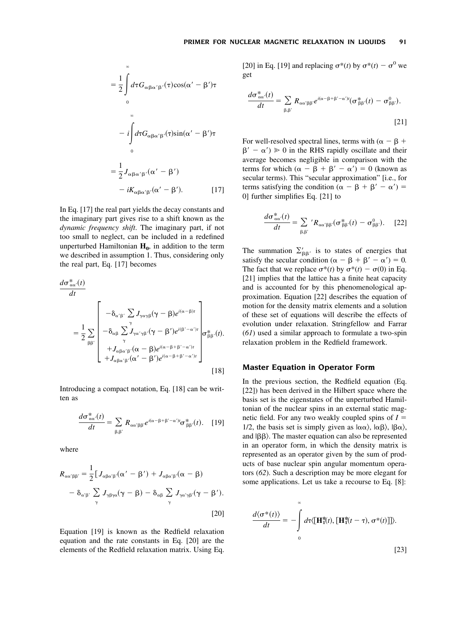$$
= \frac{1}{2} \int_{0}^{\infty} d\tau G_{\alpha\beta\alpha'\beta'}(\tau) \cos(\alpha' - \beta')\tau
$$
  

$$
- i \int_{0}^{\infty} d\tau G_{\alpha\beta\alpha'\beta'}(\tau) \sin(\alpha' - \beta')\tau
$$
  

$$
= \frac{1}{2} J_{\alpha\beta\alpha'\beta'}(\alpha' - \beta')
$$
  

$$
- iK_{\alpha\beta\alpha'\beta'}(\alpha' - \beta').
$$
 [17]

In Eq. [17] the real part yields the decay constants and the imaginary part gives rise to a shift known as the *dynamic frequency shift*. The imaginary part, if not too small to neglect, can be included in a redefined unperturbed Hamiltonian  $H_0$ , in addition to the term we described in assumption 1. Thus, considering only the real part, Eq. [17] becomes

$$
\frac{d\sigma_{\alpha\alpha'}^{*}(t)}{dt} = \frac{1}{2} \sum_{\beta\beta'} \begin{bmatrix} -\delta_{\alpha'\beta'} \sum J_{\gamma\alpha\gamma\beta}(\gamma-\beta)e^{i(\alpha-\beta)t} \\ -\delta_{\alpha\beta} \sum_{\gamma} J_{\gamma\alpha'\gamma\beta'}(\gamma-\beta')e^{i(\beta'-\alpha')t} \\ \gamma \\ +J_{\alpha\beta\alpha'\beta'}(\alpha-\beta)e^{i(\alpha-\beta+\beta'-\alpha')t} \\ +J_{\alpha\beta\alpha'\beta'}(\alpha'-\beta')e^{i(\alpha-\beta+\beta'-\alpha')t} \end{bmatrix} \sigma_{\beta\beta'}^{*}(t).
$$
\n[18]

Introducing a compact notation, Eq. [18] can be written as

$$
\frac{d\sigma_{\alpha\alpha}^{*}(t)}{dt} = \sum_{\beta,\beta'} R_{\alpha\alpha'\beta\beta'} e^{i(\alpha-\beta+\beta'-\alpha')t} \sigma_{\beta\beta'}^{*}(t). \quad [19]
$$

where

$$
R_{\alpha\alpha'\beta\beta'} = \frac{1}{2} \Big[ J_{\alpha\beta\alpha'\beta'}(\alpha' - \beta') + J_{\alpha\beta\alpha'\beta'}(\alpha - \beta) - \delta_{\alpha\beta} \sum_{\gamma} J_{\gamma\alpha'\gamma\beta'}(\gamma - \beta').
$$
  

$$
- \delta_{\alpha'\beta'} \sum_{\gamma} J_{\gamma\beta\gamma\alpha}(\gamma - \beta) - \delta_{\alpha\beta} \sum_{\gamma} J_{\gamma\alpha'\gamma\beta'}(\gamma - \beta').
$$
  
[20]

Equation [19] is known as the Redfield relaxation equation and the rate constants in Eq. [20] are the elements of the Redfield relaxation matrix. Using Eq. [20] in Eq. [19] and replacing  $\sigma^*(t)$  by  $\sigma^*(t) - \sigma^0$  we get

$$
\frac{d\sigma_{\alpha\alpha'}^*(t)}{dt} = \sum_{\beta,\beta'} R_{\alpha\alpha'\beta\beta'} e^{i(\alpha-\beta+\beta'-\alpha')t} (\sigma_{\beta\beta'}^*(t) - \sigma_{\beta\beta'}^0).
$$
\n[21]

For well-resolved spectral lines, terms with  $(\alpha - \beta +$  $\beta' - \alpha'$   $\geq 0$  in the RHS rapidly oscillate and their average becomes negligible in comparison with the terms for which  $(\alpha - \beta + \beta' - \alpha') = 0$  (known as secular terms). This "secular approximation" [i.e., for terms satisfying the condition  $(\alpha - \beta + \beta' - \alpha') =$ 0] further simplifies Eq. [21] to

$$
\frac{d\sigma_{\alpha\alpha}^{*}(t)}{dt} = \sum_{\beta,\beta'}^{}'R_{\alpha\alpha'\beta\beta'}(\sigma_{\beta\beta'}^{*}(t) - \sigma_{\beta\beta'}^{0}).
$$
 [22]

The summation  $\Sigma'_{\beta\beta'}$  is to states of energies that satisfy the secular condition  $(\alpha - \beta + \beta' - \alpha') = 0$ . The fact that we replace  $\sigma^*(t)$  by  $\sigma^*(t) - \sigma(0)$  in Eq. [21] implies that the lattice has a finite heat capacity and is accounted for by this phenomenological approximation. Equation [22] describes the equation of motion for the density matrix elements and a solution of these set of equations will describe the effects of evolution under relaxation. Stringfellow and Farrar (*61*) used a similar approach to formulate a two-spin relaxation problem in the Redfield framework.

#### **Master Equation in Operator Form**

In the previous section, the Redfield equation (Eq. [22]) has been derived in the Hilbert space where the basis set is the eigenstates of the unperturbed Hamiltonian of the nuclear spins in an external static magnetic field. For any two weakly coupled spins of *I* 1/2, the basis set is simply given as  $|\alpha \alpha \rangle$ ,  $|\alpha \beta \rangle$ ,  $|\beta \alpha \rangle$ , and  $|\beta\beta\rangle$ . The master equation can also be represented in an operator form, in which the density matrix is represented as an operator given by the sum of products of base nuclear spin angular momentum operators (*62*). Such a description may be more elegant for some applications. Let us take a recourse to Eq. [8]:

$$
\frac{d\langle \sigma^*(t)\rangle}{dt} = -\int\limits_0^\infty d\tau \langle [\mathbf{H}_1^*(t), [\mathbf{H}_1^*(t-\tau), \sigma^*(t)]] \rangle.
$$
\n[23]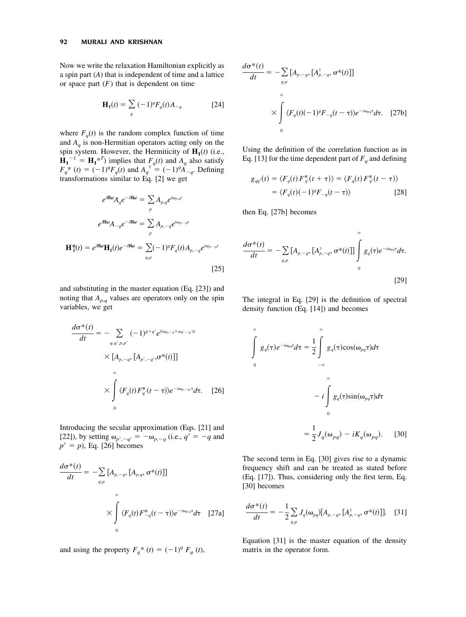Now we write the relaxation Hamiltonian explicitly as a spin part (*A*) that is independent of time and a lattice or space part  $(F)$  that is dependent on time

$$
\mathbf{H}_1(t) = \sum_{q} (-1)^q F_q(t) A_{-q} \quad [24]
$$

where  $F_q(t)$  is the random complex function of time and  $A_q$  is non-Hermitian operators acting only on the spin system. However, the Hermiticity of  $H_1(t)$  (i.e.,  $\mathbf{H_1}^{-1} = \mathbf{H_1}^{*T}$  implies that  $F_q(t)$  and  $A_q$  also satisfy  $F_q^*$  (*t*) =  $(-1)^q F_q(t)$  and  $A_q^{\dagger} = (-1)^q A_{-q}$ . Defining transformations similar to Eq. [2] we get

$$
e^{i\mathbf{H}_{0}t}A_{q}e^{-i\mathbf{H}_{0}t} = \sum_{p} A_{p,q}e^{i\omega_{p,q}t}
$$

$$
e^{i\mathbf{H}_{0}t}A_{-q}e^{-i\mathbf{H}_{0}t} = \sum_{p} A_{p,-q}e^{i\omega_{p,-q}t}
$$

$$
\mathbf{H}_{1}^{*}(t) = e^{i\mathbf{H}_{0}t}\mathbf{H}_{1}(t)e^{-i\mathbf{H}_{0}t} = \sum_{q,p} (-1)^{q}F_{q}(t)A_{p,-q}e^{i\omega_{p,-q}t}
$$
\n
$$
[25]
$$

and substituting in the master equation (Eq. [23]) and noting that  $A_{p,q}$  values are operators only on the spin variables, we get

$$
\frac{d\sigma^*(t)}{dt} = -\sum_{q,q',p,p'} (-1)^{q+q'} e^{i(\omega_{p,-q}+\omega_{p',-q'})t}
$$

$$
\times [A_{p,-q}, [A_{p',-q'}, \sigma^*(t)]]
$$

$$
\times \int_{-\infty}^{\infty} \langle F_q(t) F_q^*(t-\tau) \rangle e^{-i\omega_{p,-q},\tau} d\tau. \quad [26]
$$

Introducing the secular approximation (Eqs. [21] and [22]), by setting  $\omega_{p',-q'} = -\omega_{p,-q}$  (i.e.,  $q' = -q$  and  $p' = p$ ), Eq. [26] becomes

$$
\frac{d\sigma^*(t)}{dt} = -\sum_{q,p} [A_{p,-q}, [A_{p,q}, \sigma^*(t)]]
$$

$$
\times \int_{0}^{\infty} \langle F_q(t) F_{-q}^*(t-\tau) \rangle e^{-i\omega_{p,q}\tau} d\tau \quad [27a]
$$

and using the property  $F_q^*$  (*t*) =  $(-1)^q F_q$  (*t*),

$$
\frac{d\sigma^*(t)}{dt} = -\sum_{q,p} [A_{p,-q}, [A_{p,-q}^{\dagger}, \sigma^*(t)]]
$$
  

$$
\times \int_{0}^{\infty} \langle F_q(t)(-1)^q F_{-q}(t-\tau) \rangle e^{-i\omega_{pq}\tau} d\tau.
$$
 [27b]

Using the definition of the correlation function as in Eq. [13] for the time dependent part of  $F_q$  and defining

$$
g_{qq'}(t) = \langle F_q(t) F_{q'}^*(t + \tau) \rangle = \langle F_q(t) F_{q'}^*(t - \tau) \rangle
$$
  
=  $\langle F_q(t)(-1)^q F_{-q}(t - \tau) \rangle$  [28]

then Eq. [27b] becomes

$$
\frac{d\sigma^*(t)}{dt} = -\sum_{q,p} [A_{p,-q}, [A_{p,-q}^{\dagger}, \sigma^*(t)]] \int_{0}^{\infty} g_q(\tau) e^{-i\omega_{pq}\tau} d\tau.
$$
\n[29]

The integral in Eq. [29] is the definition of spectral density function (Eq. [14]) and becomes

$$
\int_{0}^{\infty} g_q(\tau) e^{-i\omega_{pq}\tau} d\tau = \frac{1}{2} \int_{-\infty}^{\infty} g_q(\tau) \cos(\omega_{pq}\tau) d\tau
$$

$$
-i \int_{0}^{\infty} g_q(\tau) \sin(\omega_{pq}\tau) d\tau
$$

$$
= \frac{1}{2} J_q(\omega_{pq}) - iK_q(\omega_{pq}). \quad [30]
$$

The second term in Eq. [30] gives rise to a dynamic frequency shift and can be treated as stated before (Eq. [17]). Thus, considering only the first term, Eq. [30] becomes

$$
\frac{d\sigma^*(t)}{dt} = -\frac{1}{2} \sum_{q,p} J_q(\omega_{pq}) [A_{p,-q}, [A_{p,-q}^\dagger, \sigma^*(t)]]. \quad [31]
$$

Equation [31] is the master equation of the density matrix in the operator form.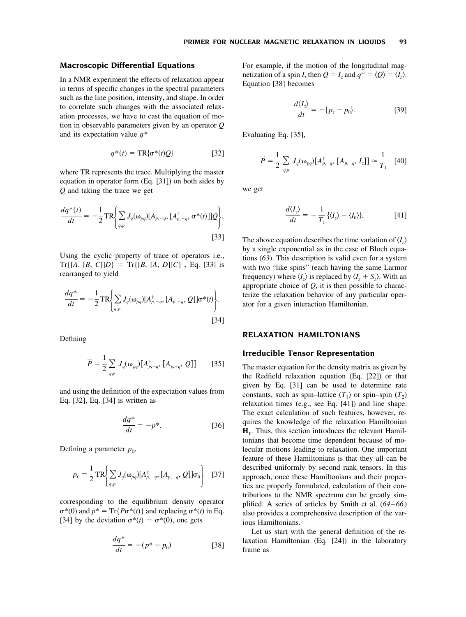# **Macroscopic Differential Equations**

In a NMR experiment the effects of relaxation appear in terms of specific changes in the spectral parameters such as the line position, intensity, and shape. In order to correlate such changes with the associated relaxation processes, we have to cast the equation of motion in observable parameters given by an operator *Q* and its expectation value *q\**

$$
q^*(t) = \text{TR}\{\sigma^*(t)Q\} \tag{32}
$$

where TR represents the trace. Multiplying the master equation in operator form (Eq. [31]) on both sides by *Q* and taking the trace we get

$$
\frac{dq^*(t)}{dt} = -\frac{1}{2} \text{TR} \Biggl\{ \sum_{q,p} J_q(\omega_{pq}) [A_{p,-q}, [A_{p,-q}^{\dagger}, \sigma^*(t)]]Q \Biggr\}.
$$
\n[33]

Using the cyclic property of trace of operators i.e.,  $Tr[{A, [B, C]}]D$  =  $Tr[{B, [A, D]}]C$  , Eq. [33] is rearranged to yield

$$
\frac{dq^*}{dt} = -\frac{1}{2} \text{TR} \Biggl\{ \sum_{q,p} J_q(\omega_{pq}) [A_{p,-q}^\dagger, [A_{p,-q}, Q]] \sigma^*(t) \Biggr\}.
$$
\n[34]

Defining

$$
\widehat{P} = \frac{1}{2} \sum_{q,p} J_q(\omega_{pq}) [A_{p,-q}^{\dagger}, [A_{p,-q}, Q]] \qquad [35]
$$

and using the definition of the expectation values from Eq. [32], Eq. [34] is written as

$$
\frac{dq^*}{dt} = -p^*.\tag{36}
$$

Defining a parameter  $p_0$ ,

$$
p_0 = \frac{1}{2} \text{TR} \left\{ \sum_{q,p} J_q(\omega_{pq}) [A_{p,-q}^\dagger, [A_{p,-q}, Q]] \sigma_0 \right\} \quad [37]
$$

corresponding to the equilibrium density operator  $\sigma^*(0)$  and  $p^* = \text{Tr}\{P\sigma^*(t)\}\$ and replacing  $\sigma^*(t)$  in Eq. [34] by the deviation  $\sigma^*(t) - \sigma^*(0)$ , one gets

$$
\frac{dq^*}{dt} = -(p^* - p_0)
$$
 [38]

For example, if the motion of the longitudinal magnetization of a spin *I*, then  $Q = I_z$  and  $q^* = \langle Q \rangle = \langle I_z \rangle$ . Equation [38] becomes

$$
\frac{d\langle I_z\rangle}{dt} = -\{p_z - p_0\}.\tag{39}
$$

Evaluating Eq. [35],

$$
\widehat{P} = \frac{1}{2} \sum_{q,p} J_q(\omega_{pq}) [A_{p,-q}^{\dagger}, [A_{p,-q}, I_z]] \approx \frac{1}{T_1} [40]
$$

we get

$$
\frac{d\langle I_z\rangle}{dt} = -\frac{1}{T_1}\{\langle I_z\rangle - \langle I_0\rangle\}.
$$
 [41]

The above equation describes the time variation of  $\langle I_z \rangle$ by a single exponential as in the case of Bloch equations (*63*). This description is valid even for a system with two "like spins" (each having the same Larmor frequency) where  $\langle I_z \rangle$  is replaced by  $\langle I_z + S_z \rangle$ . With an appropriate choice of  $Q$ , it is then possible to characterize the relaxation behavior of any particular operator for a given interaction Hamiltonian.

#### **RELAXATION HAMILTONIANS**

#### **Irreducible Tensor Representation**

The master equation for the density matrix as given by the Redfield relaxation equation (Eq. [22]) or that given by Eq. [31] can be used to determine rate constants, such as spin–lattice  $(T_1)$  or spin–spin  $(T_2)$ relaxation times (e.g., see Eq. [41]) and line shape. The exact calculation of such features, however, requires the knowledge of the relaxation Hamiltonian **H1**. Thus, this section introduces the relevant Hamiltonians that become time dependent because of molecular motions leading to relaxation. One important feature of these Hamiltonians is that they all can be described uniformly by second rank tensors. In this approach, once these Hamiltonians and their properties are properly formulated, calculation of their contributions to the NMR spectrum can be greatly simplified. A series of articles by Smith et al. (*64–66*) also provides a comprehensive description of the various Hamiltonians.

Let us start with the general definition of the relaxation Hamiltonian (Eq. [24]) in the laboratory frame as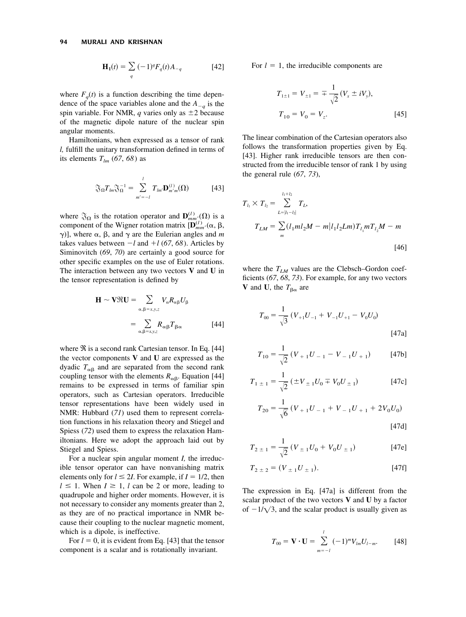$$
\mathbf{H}_1(t) = \sum_{q} (-1)^q F_q(t) A_{-q} \quad [42]
$$

where  $F_q(t)$  is a function describing the time dependence of the space variables alone and the  $A_{-q}$  is the spin variable. For NMR, *q* varies only as  $\pm 2$  because of the magnetic dipole nature of the nuclear spin angular moments.

Hamiltonians, when expressed as a tensor of rank *l,* fulfill the unitary transformation defined in terms of its elements  $T_{lm}$  (67, 68) as

$$
\mathfrak{F}_{\Omega}T_{lm}\mathfrak{F}_{\Omega}^{-1}=\sum_{m'=-l}^{l}T_{lm'}\mathbf{D}_{m'm}^{(l)}(\Omega)
$$
 [43]

where  $\mathfrak{F}_{\Omega}$  is the rotation operator and  $\mathbf{D}_{mm}^{(l)}(\Omega)$  is a component of the Wigner rotation matrix  $[\mathbf{D}_{mm'}^{(l)}(\alpha, \beta,$  $\gamma$ )], where  $\alpha$ ,  $\beta$ , and  $\gamma$  are the Eulerian angles and *m* takes values between  $-l$  and  $+l$  (67, 68). Articles by Siminovitch (*69*, *70*) are certainly a good source for other specific examples on the use of Euler rotations. The interaction between any two vectors **V** and **U** in the tensor representation is defined by

$$
\mathbf{H} \sim \mathbf{V} \mathfrak{R} \mathbf{U} = \sum_{\alpha, \beta = x, y, z} V_{\alpha} R_{\alpha \beta} U_{\beta}
$$

$$
= \sum_{\alpha, \beta = x, y, z} R_{\alpha \beta} T_{\beta \alpha} \qquad [44]
$$

where  $\Re$  is a second rank Cartesian tensor. In Eq. [44] the vector components **V** and **U** are expressed as the dyadic  $T_{\alpha\beta}$  and are separated from the second rank coupling tensor with the elements  $R_{\alpha\beta}$ . Equation [44] remains to be expressed in terms of familiar spin operators, such as Cartesian operators. Irreducible tensor representations have been widely used in NMR: Hubbard (*71*) used them to represent correlation functions in his relaxation theory and Stiegel and Spiess (*72*) used them to express the relaxation Hamiltonians. Here we adopt the approach laid out by Stiegel and Spiess.

For a nuclear spin angular moment *I,* the irreducible tensor operator can have nonvanishing matrix elements only for  $l \leq 2I$ . For example, if  $I = 1/2$ , then  $l \leq 1$ . When  $I \geq 1$ , *l* can be 2 or more, leading to quadrupole and higher order moments. However, it is not necessary to consider any moments greater than 2, as they are of no practical importance in NMR because their coupling to the nuclear magnetic moment, which is a dipole, is ineffective.

For  $l = 0$ , it is evident from Eq. [43] that the tensor component is a scalar and is rotationally invariant.

For  $l = 1$ , the irreducible components are

$$
T_{1\pm 1} = V_{\pm 1} = \pm \frac{1}{\sqrt{2}} (V_x \pm iV_y),
$$
  
\n
$$
T_{10} = V_0 = V_z.
$$
 [45]

The linear combination of the Cartesian operators also follows the transformation properties given by Eq. [43]. Higher rank irreducible tensors are then constructed from the irreducible tensor of rank 1 by using the general rule (*67*, *73*),

$$
T_{l_1} \times T_{l_2} = \sum_{L=|l_1-l_2|}^{l_1+l_2} T_L,
$$
  
\n
$$
T_{LM} = \sum_m (l_1 m l_2 M - m | l_1 l_2 L m) T_{l_1} m T_{l_2} M - m
$$
\n[46]

where the  $T_{LM}$  values are the Clebsch–Gordon coefficients (*67*, *68*, *73*). For example, for any two vectors **V** and **U**, the  $T_{\beta\alpha}$  are

$$
T_{00} = \frac{1}{\sqrt{3}} \left( V_{+1} U_{-1} + V_{-1} U_{+1} - V_0 U_0 \right)
$$
\n[47a]

$$
T_{10} = \frac{1}{\sqrt{2}} \left( V_{+1} U_{-1} - V_{-1} U_{+1} \right) \tag{47b}
$$

$$
T_{1 \pm 1} = \frac{1}{\sqrt{2}} \left( \pm V_{\pm 1} U_0 \mp V_0 U_{\pm 1} \right) \tag{47c}
$$

$$
T_{20} = \frac{1}{\sqrt{6}} \left( V_{+1} U_{-1} + V_{-1} U_{+1} + 2V_0 U_0 \right)
$$
\n[47d]

$$
T_{2\,\pm\,1} = \frac{1}{\sqrt{2}} \left( V_{\,\pm\,1} U_0 + V_0 U_{\,\pm\,1} \right) \tag{47e}
$$

$$
T_{2\,\pm\,2} = (V_{\,\pm\,1}U_{\,\pm\,1}). \tag{47f}
$$

The expression in Eq. [47a] is different from the scalar product of the two vectors **V** and **U** by a factor of  $-1/\sqrt{3}$ , and the scalar product is usually given as

$$
T_{00} = \mathbf{V} \cdot \mathbf{U} = \sum_{m=-l}^{l} (-1)^m V_{lm} U_{l-m}.
$$
 [48]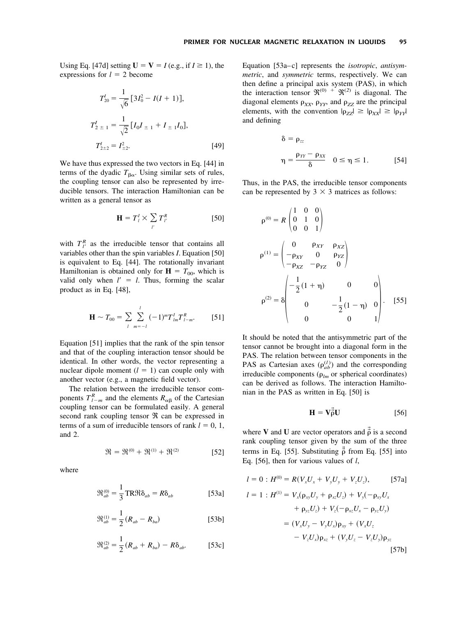Using Eq. [47d] setting  $U = V = I$  (e.g., if  $I \ge 1$ ), the expressions for  $l = 2$  become

$$
T'_{20} = \frac{1}{\sqrt{6}} [3I_0^2 - I(I+1)],
$$
  
\n
$$
T'_{2 \pm 1} = \frac{1}{\sqrt{2}} [I_0 I_{\pm 1} + I_{\pm 1} I_0],
$$
  
\n
$$
T'_{2 \pm 2} = I_{\pm 2}^2.
$$
\n[49]

We have thus expressed the two vectors in Eq. [44] in terms of the dyadic  $T_{\beta\alpha}$ . Using similar sets of rules, the coupling tensor can also be represented by irreducible tensors. The interaction Hamiltonian can be written as a general tensor as

$$
\mathbf{H} = T_l^I \times \sum_{l'} T_{l'}^R
$$
 [50]

with  $T_l^R$  as the irreducible tensor that contains all variables other than the spin variables *I*. Equation [50] is equivalent to Eq. [44]. The rotationally invariant Hamiltonian is obtained only for  $H = T_{00}$ , which is valid only when  $l' = l$ . Thus, forming the scalar product as in Eq. [48],

$$
\mathbf{H} \sim T_{00} = \sum_{l} \sum_{m=-l}^{l} (-1)^m T_{lm}^l T_{l-m}^R.
$$
 [51]

Equation [51] implies that the rank of the spin tensor and that of the coupling interaction tensor should be identical. In other words, the vector representing a nuclear dipole moment  $(l = 1)$  can couple only with another vector (e.g., a magnetic field vector).

The relation between the irreducible tensor components  $T_{l-m}^R$  and the elements  $R_{\alpha\beta}$  of the Cartesian coupling tensor can be formulated easily. A general second rank coupling tensor  $\Re$  can be expressed in terms of a sum of irreducible tensors of rank  $l = 0, 1$ , and 2.

$$
\mathfrak{R} = \mathfrak{R}^{(0)} + \mathfrak{R}^{(1)} + \mathfrak{R}^{(2)} \tag{52}
$$

where

$$
\mathfrak{R}_{ab}^{(0)} = \frac{1}{3} \text{TR} \mathfrak{R}_{ab} = R \delta_{ab} \tag{53a}
$$

$$
\Re_{ab}^{(1)} = \frac{1}{2} (R_{ab} - R_{ba})
$$
 [53b]

$$
\Re_{ab}^{(2)} = \frac{1}{2} (R_{ab} + R_{ba}) - R \delta_{ab}.
$$
 [53c]

Equation [53a–c] represents the *isotropic*, *antisymmetric*, and *symmetric* terms, respectively. We can then define a principal axis system (PAS), in which the interaction tensor  $\mathfrak{R}^{(0)}$  +  $\mathfrak{R}^{(2)}$  is diagonal. The diagonal elements  $\rho_{XX}$ ,  $\rho_{YY}$ , and  $\rho_{ZZ}$  are the principal elements, with the convention  $|\rho_{ZZ}| \ge |\rho_{XX}| \ge |\rho_{YY}|$ and defining

$$
\delta = \rho_{zz}
$$
  

$$
\eta = \frac{\rho_{YY} - \rho_{XX}}{\delta} \quad 0 \le \eta \le 1. \quad [54]
$$

Thus, in the PAS, the irreducible tensor components can be represented by  $3 \times 3$  matrices as follows:

$$
\rho^{(0)} = R \begin{pmatrix} 1 & 0 & 0 \\ 0 & 1 & 0 \\ 0 & 0 & 1 \end{pmatrix}
$$
  
\n
$$
\rho^{(1)} = \begin{pmatrix} 0 & \rho_{XY} & \rho_{XZ} \\ -\rho_{XY} & 0 & \rho_{YZ} \\ -\rho_{XZ} & -\rho_{YZ} & 0 \end{pmatrix}
$$
  
\n
$$
\rho^{(2)} = 8 \begin{pmatrix} -\frac{1}{2}(1+\eta) & 0 & 0 \\ 0 & -\frac{1}{2}(1-\eta) & 0 \\ 0 & 0 & 1 \end{pmatrix}.
$$
 [55]

It should be noted that the antisymmetric part of the tensor cannot be brought into a diagonal form in the PAS. The relation between tensor components in the PAS as Cartesian axes  $(\rho_{ab}^{(l)})$  and the corresponding irreducible components ( $\rho_{lm}$  or spherical coordinates) can be derived as follows. The interaction Hamiltonian in the PAS as written in Eq. [50] is

$$
\mathbf{H} = \mathbf{V}_{\mathsf{P}}^{\dagger} \mathbf{U} \tag{56}
$$

where **V** and **U** are vector operators and  $\vec{\rho}$  is a second rank coupling tensor given by the sum of the three terms in Eq. [55]. Substituting  $\vec{\hat{\rho}}$  from Eq. [55] into Eq. [56], then for various values of *l*,

$$
l = 0: H^{(0)} = R(V_xU_x + V_yU_y + V_zU_z),
$$
 [57a]  
\n
$$
l = 1: H^{(1)} = V_x(\rho_{xy}U_y + \rho_{xz}U_z) + V_y(-\rho_{xy}U_x + \rho_{yz}U_z) + V_z(-\rho_{xz}U_x - \rho_{yz}U_y)
$$
  
\n
$$
= (V_xU_y - V_yU_x)\rho_{xy} + (V_xU_z - V_zU_y)\rho_{yz}
$$
  
\n
$$
- V_zU_x)\rho_{xz} + (V_yU_z - V_zU_y)\rho_{yz}
$$
 [57b]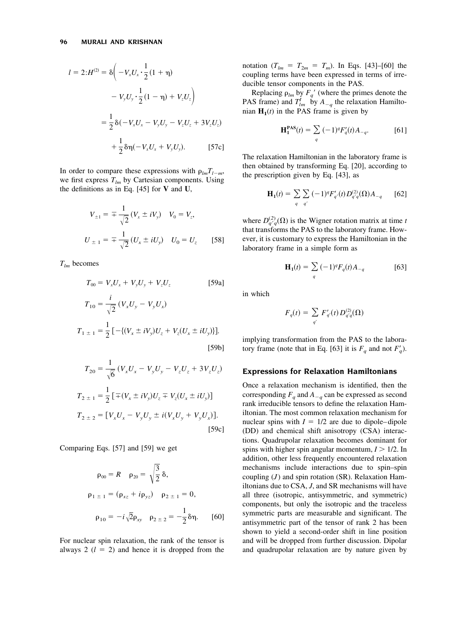$$
l = 2:H^{(2)} = \delta \left( -V_x U_x \cdot \frac{1}{2} (1 + \eta) - V_y U_y \cdot \frac{1}{2} (1 - \eta) + V_z U_z \right)
$$
  
=  $\frac{1}{2} \delta (-V_x U_x - V_y U_y - V_z U_z + 3V_z U_z) + \frac{1}{2} \delta \eta (-V_x U_x + V_y U_y).$  [57c]

In order to compare these expressions with  $\rho_{lm}T_{l-m}$ , we first express  $T_{lm}$  by Cartesian components. Using the definitions as in Eq. [45] for **V** and **U**,

$$
V_{\pm 1} = \pm \frac{1}{\sqrt{2}} (V_x \pm iV_y) \quad V_0 = V_z,
$$
  

$$
U_{\pm 1} = \pm \frac{1}{\sqrt{2}} (U_x \pm iU_y) \quad U_0 = U_z \quad [58]
$$

*Tlm* becomes

$$
T_{00} = V_x U_x + V_y U_y + V_z U_z
$$
 [59a]  
\n
$$
T_{10} = \frac{i}{\sqrt{2}} (V_x U_y - V_y U_x)
$$
  
\n
$$
T_{1 \pm 1} = \frac{1}{2} [-\{(V_x \pm iV_y)U_z + V_z(U_x \pm iU_y)\}].
$$
 [59b]

$$
T_{20} = \frac{1}{\sqrt{6}} (V_x U_x - V_y U_y - V_z U_z + 3V_z U_z)
$$
  
\n
$$
T_{2 \pm 1} = \frac{1}{2} [\mp (V_x \pm iV_y) U_z \mp V_z (U_x \pm iU_y)]
$$
  
\n
$$
T_{2 \pm 2} = [V_x U_x - V_y U_y \pm i (V_x U_y + V_y U_x)].
$$
\n[59c]

Comparing Eqs. [57] and [59] we get

$$
\rho_{00} = R \quad \rho_{20} = \sqrt{\frac{3}{2}} \delta,
$$
  
\n
$$
\rho_{1 \pm 1} = (\rho_{xz} + i \rho_{yz}) \quad \rho_{2 \pm 1} = 0,
$$
  
\n
$$
\rho_{10} = -i \sqrt{2} \rho_{xy} \quad \rho_{2 \pm 2} = -\frac{1}{2} \delta \eta.
$$
 [60]

For nuclear spin relaxation, the rank of the tensor is always  $2 (l = 2)$  and hence it is dropped from the

notation ( $T_{lm} = T_{2m} = T_m$ ). In Eqs. [43]–[60] the coupling terms have been expressed in terms of irreducible tensor components in the PAS.

Replacing  $\rho_{lm}$  by  $F_q'$  (where the primes denote the PAS frame) and  $T_{lm}^{I}$  by  $A_{q}$  the relaxation Hamiltonian  $H_1(t)$  in the PAS frame is given by

$$
\mathbf{H}_{1}^{\mathbf{PAS}}(t) = \sum_{q} (-1)^{q} F'_{q}(t) A_{-q}.
$$
 [61]

The relaxation Hamiltonian in the laboratory frame is then obtained by transforming Eq. [20], according to the prescription given by Eq. [43], as

$$
\mathbf{H}_{1}(t) = \sum_{q} \sum_{q'} (-1)^{q} F'_{q'}(t) D_{q'q}^{(2)}(\Omega) A_{-q} \qquad [62]
$$

where  $D_{q'q}^{(2)}(\Omega)$  is the Wigner rotation matrix at time *t* that transforms the PAS to the laboratory frame. However, it is customary to express the Hamiltonian in the laboratory frame in a simple form as

$$
\mathbf{H}_1(t) = \sum_{q} (-1)^q F_q(t) A_{-q} \quad [63]
$$

in which

$$
F_q(t) = \sum_{q'} F'_{q'}(t) D_{q'q}^{(2)}(\Omega)
$$

implying transformation from the PAS to the laboratory frame (note that in Eq. [63] it is  $F_q$  and not  $F'_q$ ).

# **Expressions for Relaxation Hamiltonians**

Once a relaxation mechanism is identified, then the corresponding  $F_q$  and  $A_{-q}$  can be expressed as second rank irreducible tensors to define the relaxation Hamiltonian. The most common relaxation mechanism for nuclear spins with  $I = 1/2$  are due to dipole–dipole (DD) and chemical shift anisotropy (CSA) interactions. Quadrupolar relaxation becomes dominant for spins with higher spin angular momentum,  $I > 1/2$ . In addition, other less frequently encountered relaxation mechanisms include interactions due to spin–spin coupling  $(J)$  and spin rotation (SR). Relaxation Hamiltonians due to CSA, *J*, and SR mechanisms will have all three (isotropic, antisymmetric, and symmetric) components, but only the isotropic and the traceless symmetric parts are measurable and significant. The antisymmetric part of the tensor of rank 2 has been shown to yield a second-order shift in line position and will be dropped from further discussion. Dipolar and quadrupolar relaxation are by nature given by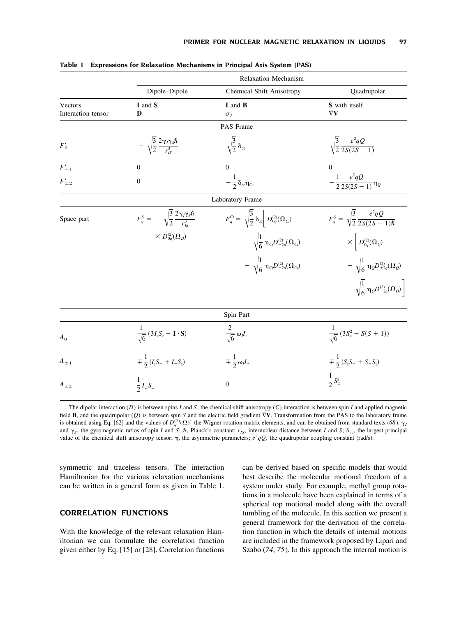|                               | Relaxation Mechanism                                                              |                                                                                                        |                                                            |
|-------------------------------|-----------------------------------------------------------------------------------|--------------------------------------------------------------------------------------------------------|------------------------------------------------------------|
|                               | Dipole-Dipole                                                                     | Chemical Shift Anisotropy                                                                              | Quadrupolar                                                |
| Vectors<br>Interaction tensor | I and S<br>D                                                                      | I and B<br>$\sigma_I$                                                                                  | S with itself<br>$\nabla \mathbf{V}$                       |
|                               |                                                                                   | PAS Frame                                                                                              |                                                            |
| $F'_{0}$                      | $-\sqrt{\frac{3}{2}}\frac{2\gamma_i\gamma_s\hbar}{r_{\rm rs}^3}$                  | $\sqrt{\frac{3}{2}}\ \delta_{zz}$                                                                      | $\sqrt{\frac{3}{2}} \frac{e^2 qQ}{2S(2S-1)}$               |
| $F'_{\pm 1}$                  | $\theta$                                                                          | $\boldsymbol{0}$                                                                                       | $\mathbf{0}$                                               |
| $F'_{\pm 2}$                  | $\theta$                                                                          | $-\frac{1}{2}\delta_{zz}\eta_{C_I}$                                                                    | $-\frac{1}{2}\frac{e^2qQ}{2S(2S-1)}\eta_Q$                 |
|                               |                                                                                   | Laboratory Frame                                                                                       |                                                            |
| Space part                    | $F_q^D = -\sqrt{\frac{3}{2} \frac{2 \gamma_I \gamma_S \hbar}{r_{\rm rs}^3}}$      | $F_{q}^{C_{I}} = \sqrt{\frac{3}{2}} \, \delta_{zz} \left[ \, D^{(2)}_{0q} (\Omega_{C_{I}}) \, \right]$ | $F_q^Q = \sqrt{\frac{3}{2}} \frac{e^2 q Q}{2S(2S-1)\hbar}$ |
|                               | $\times$ $D_{0a}^{(2)}(\Omega_D)$                                                 | $- \sqrt{\frac{1}{6}} \eta_{C} D_{+2q}^{(2)}(\Omega_{C})$                                              | $\times \bigg[\, D^{(2)}_{0q}(\Omega_Q)$                   |
|                               |                                                                                   | $-\sqrt{\frac{1}{6}} \eta_{C} D_{-2q}^{(2)}(\Omega_{C})$                                               | $- \sqrt{\frac{1}{6}} \eta_Q D_{+2q}^{(2)}(\Omega_Q)$      |
|                               |                                                                                   |                                                                                                        | $- \sqrt{\frac{1}{6}} \eta_{Q} D_{-2q}^{(2)}(\Omega_{Q})$  |
|                               |                                                                                   | Spin Part                                                                                              |                                                            |
| ${\cal A}_0$                  | $\frac{1}{\sqrt{6}}$ (3 <i>I<sub>z</sub>S<sub>z</sub></i> – <b>I</b> · <b>S</b> ) | $\frac{2}{\sqrt{6}} \omega_I I_z$                                                                      | $\frac{1}{\sqrt{6}}(3S_z^2-S(S+1))$                        |
| $A_{\pm 1}$                   | $\overline{+} \frac{1}{2} (I_z S_{\pm} + I_{\pm} S_z)$                            | $\mp \frac{1}{2} \omega_l I_{\pm}$                                                                     | $\frac{1}{2}$ $(S_zS_{\pm} + S_{\pm}S_z)$                  |
| $A_{\pm 2}$                   | $\frac{1}{2}I_{\pm}S_{\pm}$                                                       | $\overline{0}$                                                                                         | $\frac{1}{2}S_{\pm}^{2}$                                   |

**Table 1 Expressions for Relaxation Mechanisms in Principal Axis System (PAS)**

The dipolar interaction (*D*) is between spins *I* and *S*, the chemical shift anisotropy (*C*) interaction is between spin *I* and applied magnetic field **B**, and the quadrupolar  $(Q)$  is between spin *S* and the electric field gradient  $\nabla V$ . Transformation from the PAS to the laboratory frame is obtained using Eq. [62] and the values of  $D_q^{(2)}(\Omega)$  the Wigner rotation matrix elements, and can be obtained from standard texts (68).  $\gamma$ and  $\gamma_S$ , the gyromagnetic ratios of spin *I* and *S*;  $\hbar$ , Planck's constant;  $r_{IS}$ , internuclear distance between *I* and *S*;  $\delta_{zz}$ , the largest principal value of the chemical shift anisotropy tensor;  $\eta$ , the asymmetric parameters;  $e^2qQ$ , the quadrupolar coupling constant (rad/s).

symmetric and traceless tensors. The interaction Hamiltonian for the various relaxation mechanisms can be written in a general form as given in Table 1.

# **CORRELATION FUNCTIONS**

With the knowledge of the relevant relaxation Hamiltonian we can formulate the correlation function given either by Eq. [15] or [28]. Correlation functions can be derived based on specific models that would best describe the molecular motional freedom of a system under study. For example, methyl group rotations in a molecule have been explained in terms of a spherical top motional model along with the overall tumbling of the molecule. In this section we present a general framework for the derivation of the correlation function in which the details of internal motions are included in the framework proposed by Lipari and Szabo (*74*, *75*). In this approach the internal motion is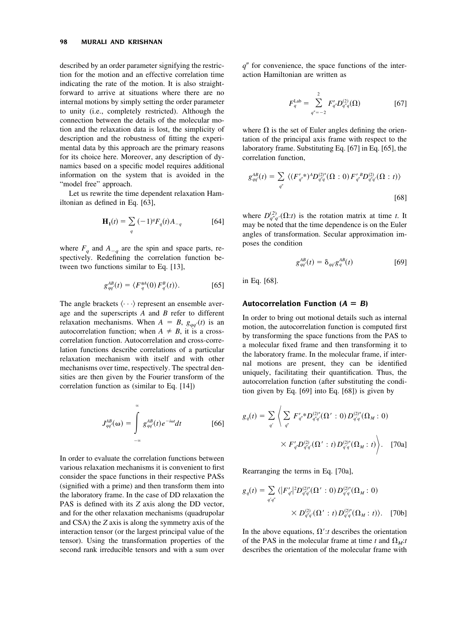described by an order parameter signifying the restriction for the motion and an effective correlation time indicating the rate of the motion. It is also straightforward to arrive at situations where there are no internal motions by simply setting the order parameter to unity (i.e., completely restricted). Although the connection between the details of the molecular motion and the relaxation data is lost, the simplicity of description and the robustness of fitting the experimental data by this approach are the primary reasons for its choice here. Moreover, any description of dynamics based on a specific model requires additional information on the system that is avoided in the "model free" approach.

Let us rewrite the time dependent relaxation Hamiltonian as defined in Eq. [63],

$$
\mathbf{H}_1(t) = \sum_{q} (-1)^q F_q(t) A_{-q} \quad [64]
$$

where  $F_q$  and  $A_{-q}$  are the spin and space parts, respectively. Redefining the correlation function between two functions similar to Eq. [13],

$$
g_{qq'}^{AB}(t) = \langle F_q^{*A}(0) F_{q'}^{B}(t) \rangle.
$$
 [65]

The angle brackets  $\langle \cdot \cdot \cdot \rangle$  represent an ensemble average and the superscripts *A* and *B* refer to different relaxation mechanisms. When  $A = B$ ,  $g_{qq'}(t)$  is an autocorrelation function; when  $A \neq B$ , it is a crosscorrelation function. Autocorrelation and cross-correlation functions describe correlations of a particular relaxation mechanism with itself and with other mechanisms over time, respectively. The spectral densities are then given by the Fourier transform of the correlation function as (similar to Eq. [14])

$$
J_{qq'}^{AB}(\omega) = \int_{-\infty}^{\infty} g_{qq'}^{AB}(t) e^{-i\omega t} dt
$$
 [66]

In order to evaluate the correlation functions between various relaxation mechanisms it is convenient to first consider the space functions in their respective PASs (signified with a prime) and then transform them into the laboratory frame. In the case of DD relaxation the PAS is defined with its *Z* axis along the DD vector, and for the other relaxation mechanisms (quadrupolar and CSA) the *Z* axis is along the symmetry axis of the interaction tensor (or the largest principal value of the tensor). Using the transformation properties of the second rank irreducible tensors and with a sum over *q* for convenience, the space functions of the interaction Hamiltonian are written as

$$
F_q^{\text{Lab}} = \sum_{q''=-2}^2 F'_{q''} D_{q''q}^{(2)}(\Omega) \tag{67}
$$

where  $\Omega$  is the set of Euler angles defining the orientation of the principal axis frame with respect to the laboratory frame. Substituting Eq. [67] in Eq. [65], the correlation function,

$$
g_{qq'}^{AB}(t) = \sum_{q'} \langle (F'_{q''}^*)^A D_{q''q}^{(2)*} (\Omega:0) F'_{q''}^{\ B} D_{q''q'}^{(2)} (\Omega:t) \rangle
$$
\n[68]

where  $D_{q''q'}^{(2)}(\Omega:t)$  is the rotation matrix at time *t*. It may be noted that the time dependence is on the Euler angles of transformation. Secular approximation imposes the condition

$$
g_{qq'}^{AB}(t) = \delta_{qq'} g_q^{AB}(t) \qquad [69]
$$

in Eq. [68].

#### Autocorrelation Function  $(A = B)$

In order to bring out motional details such as internal motion, the autocorrelation function is computed first by transforming the space functions from the PAS to a molecular fixed frame and then transforming it to the laboratory frame. In the molecular frame, if internal motions are present, they can be identified uniquely, facilitating their quantification. Thus, the autocorrelation function (after substituting the condition given by Eq. [69] into Eq. [68]) is given by

$$
g_q(t) = \sum_{q'} \left\langle \sum_{q'} F'_{q'}^* D_{q'q'}^{(2)*} (\Omega' : 0) D_{q'q}^{(2)*} (\Omega_M : 0) \times F'_{q'} D_{q'q'}^{(2)} (\Omega' : t) D_{q'q}^{(2)*} (\Omega_M : t) \right\rangle.
$$
 [70a]

Rearranging the terms in Eq. [70a],

$$
g_q(t) = \sum_{q'q''} \langle |F'_{q''}|^2 D_{q'q'}^{(2)*}(\Omega' : 0) D_{q'q}^{(2)*}(\Omega_M : 0) \times D_{q'q'}^{(2)}(\Omega' : t) D_{q'q}^{(2)*}(\Omega_M : t) \rangle. \tag{70b}
$$

In the above equations,  $\Omega$ ':*t* describes the orientation of the PAS in the molecular frame at time *t* and  $\Omega_M$ :*t* describes the orientation of the molecular frame with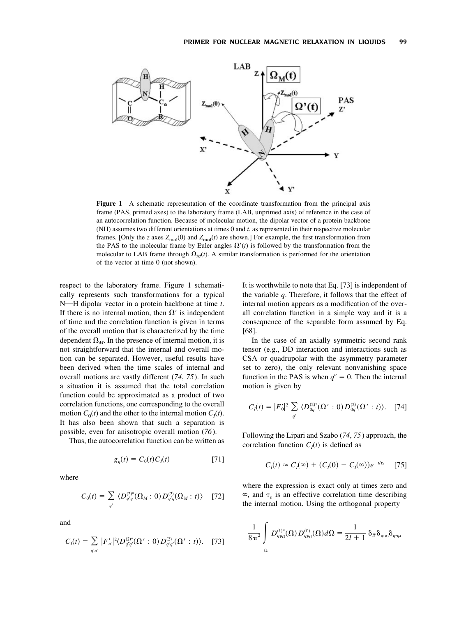

Figure 1 A schematic representation of the coordinate transformation from the principal axis frame (PAS, primed axes) to the laboratory frame (LAB, unprimed axis) of reference in the case of an autocorrelation function. Because of molecular motion, the dipolar vector of a protein backbone (NH) assumes two different orientations at times 0 and *t*, as represented in their respective molecular frames. [Only the *z* axes  $Z_{\text{mol}}(0)$  and  $Z_{\text{mol}}(t)$  are shown.] For example, the first transformation from the PAS to the molecular frame by Euler angles  $\Omega'(t)$  is followed by the transformation from the molecular to LAB frame through  $\Omega_{M}(t)$ . A similar transformation is performed for the orientation of the vector at time 0 (not shown).

respect to the laboratory frame. Figure 1 schematically represents such transformations for a typical N—H dipolar vector in a protein backbone at time *t*. If there is no internal motion, then  $\Omega'$  is independent of time and the correlation function is given in terms of the overall motion that is characterized by the time dependent  $\Omega_M$ . In the presence of internal motion, it is not straightforward that the internal and overall motion can be separated. However, useful results have been derived when the time scales of internal and overall motions are vastly different (*74*, *75*). In such a situation it is assumed that the total correlation function could be approximated as a product of two correlation functions, one corresponding to the overall motion  $C_0(t)$  and the other to the internal motion  $C_I(t)$ . It has also been shown that such a separation is possible, even for anisotropic overall motion (*76*).

Thus, the autocorrelation function can be written as

$$
g_q(t) = C_0(t)C_I(t)
$$
 [71]

where

$$
C_0(t) = \sum_{q'} \langle D_{q'q}^{(2)*}(\Omega_M:0) D_{q'q}^{(2)}(\Omega_M:t) \rangle \quad [72]
$$

and

$$
C_I(t) = \sum_{q'q'} |F'_{q'}|^2 \langle D_{q'q'}^{(2)*}(\Omega' : 0) D_{q'q'}^{(2)}(\Omega' : t) \rangle.
$$
 [73]

It is worthwhile to note that Eq. [73] is independent of the variable *q*. Therefore, it follows that the effect of internal motion appears as a modification of the overall correlation function in a simple way and it is a consequence of the separable form assumed by Eq. [68].

In the case of an axially symmetric second rank tensor (e.g., DD interaction and interactions such as CSA or quadrupolar with the asymmetry parameter set to zero), the only relevant nonvanishing space function in the PAS is when  $q'' = 0$ . Then the internal motion is given by

$$
C_I(t) = |F'_0|^2 \sum_{q'} \langle D_{0q'}^{(2)*}(\Omega' : 0) D_{0q'}^{(2)}(\Omega' : t) \rangle.
$$
 [74]

Following the Lipari and Szabo (*74*, *75*) approach, the correlation function  $C<sub>I</sub>(t)$  is defined as

$$
C_I(t) \approx C_I(\infty) + (C_I(0) - C_I(\infty))e^{-t/\tau_e}
$$
 [75]

where the expression is exact only at times zero and  $\infty$ , and  $\tau_e$  is an effective correlation time describing the internal motion. Using the orthogonal property

$$
\frac{1}{8\pi^2} \int\limits_{\Omega} D_{q_1q_2}^{(l)*}(\Omega) D_{q_3q_4}^{(l')}(\Omega) d\Omega = \frac{1}{2l+1} \, \delta_{ll'} \delta_{q_1q_3} \delta_{q_2q_4}
$$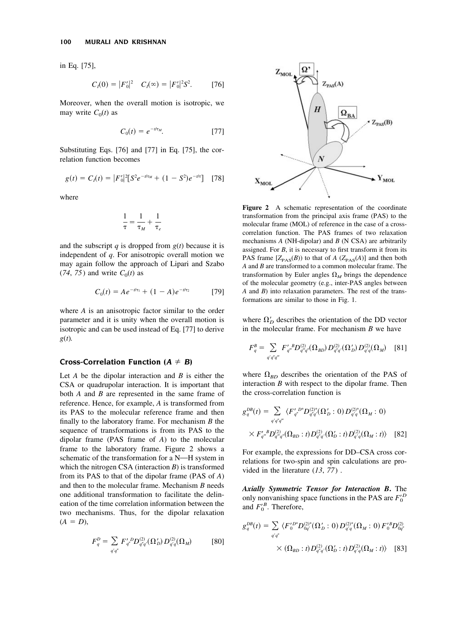in Eq. [75],

$$
C_I(0) = |F'_0|^2 \quad C_I(\infty) = |F'_0|^2 S^2. \tag{76}
$$

Moreover, when the overall motion is isotropic, we may write  $C_0(t)$  as

$$
C_0(t) = e^{-t/\tau_M}.\tag{77}
$$

Substituting Eqs. [76] and [77] in Eq. [75], the correlation function becomes

$$
g(t) = C_1(t) = |F'_0|^2 [S^2 e^{-t/\tau_M} + (1 - S^2) e^{-t/\tau}] \quad [78]
$$

where

$$
\frac{1}{\tau} = \frac{1}{\tau_M} + \frac{1}{\tau_e}
$$

and the subscript  $q$  is dropped from  $g(t)$  because it is independent of *q*. For anisotropic overall motion we may again follow the approach of Lipari and Szabo  $(74, 75)$  and write  $C<sub>0</sub>(t)$  as

$$
C_0(t) = Ae^{-t/\tau_1} + (1 - A)e^{-t/\tau_2}
$$
 [79]

where *A* is an anisotropic factor similar to the order parameter and it is unity when the overall motion is isotropic and can be used instead of Eq. [77] to derive *g*(*t*)*.*

#### Cross-Correlation Function  $(A \neq B)$

Let *A* be the dipolar interaction and *B* is either the CSA or quadrupolar interaction. It is important that both *A* and *B* are represented in the same frame of reference. Hence, for example, *A* is transformed from its PAS to the molecular reference frame and then finally to the laboratory frame. For mechanism *B* the sequence of transformations is from its PAS to the dipolar frame (PAS frame of *A*) to the molecular frame to the laboratory frame. Figure 2 shows a schematic of the transformation for a  $N$ —H system in which the nitrogen CSA (interaction *B*) is transformed from its PAS to that of the dipolar frame (PAS of *A*) and then to the molecular frame. Mechanism *B* needs one additional transformation to facilitate the delineation of the time correlation information between the two mechanisms. Thus, for the dipolar relaxation  $(A = D)$ ,

$$
F_q^D = \sum_{q'q'} F'_{q'}^D D_{q'q'}^{(2)}(\Omega_D) D_{q'q}^{(2)}(\Omega_M)
$$
 [80]



Figure 2 A schematic representation of the coordinate transformation from the principal axis frame (PAS) to the molecular frame (MOL) of reference in the case of a crosscorrelation function. The PAS frames of two relaxation mechanisms *A* (NH-dipolar) and *B* (N CSA) are arbitrarily assigned. For *B*, it is necessary to first transform it from its PAS frame  $[Z_{\text{PAS}}(B))$  to that of *A* ( $Z_{\text{PAS}}(A)$ ] and then both *A* and *B* are transformed to a common molecular frame. The transformation by Euler angles  $\Omega_M$  brings the dependence of the molecular geometry (e.g., inter-PAS angles between *A* and *B*) into relaxation parameters. The rest of the transformations are similar to those in Fig. 1.

where  $\Omega_D'$  describes the orientation of the DD vector in the molecular frame. For mechanism *B* we have

$$
F_q^B = \sum_{q'q''q''} F'_{q''}^{\prime B} D_{q''q'}^{(2)}(\Omega_{BD}) D_{q'q'}^{(2)}(\Omega_D') D_{q'q}^{(2)}(\Omega_M) \quad [81]
$$

where  $\Omega_{BD}$  describes the orientation of the PAS of interaction *B* with respect to the dipolar frame. Then the cross-correlation function is

$$
g_q^{DB}(t) = \sum_{q'q''q''} \langle F'_{q''}^{D^*} D_{q'q'}^{(2)*} (\Omega'_D : 0) D_{q'q}^{(2)*} (\Omega_M : 0) \times F'_{q''}^{B} D_{q''q''}^{(2)} (\Omega_{BD} : t) D_{q''q'}^{(2)} (\Omega'_D : t) D_{q'q}^{(2)} (\Omega_M : t) \rangle
$$
 [82]

For example, the expressions for DD–CSA cross correlations for two-spin and spin calculations are provided in the literature (*13*, *77*) .

*Axially Symmetric Tensor for Interaction B***.** The only nonvanishing space functions in the PAS are  $F_0^D$ and  $F_0^{\prime B}$ . Therefore,

$$
g_q^{DB}(t) = \sum_{q'q'} \langle F_0'^{D^*} D_{0q'}^{(2)*}(\Omega_D' : 0) D_{q'q}^{(2)*}(\Omega_M : 0) F_0'^B D_{0q'}^{(2)}
$$
  
 
$$
\times (\Omega_{BD} : t) D_{q''q'}^{(2)}(\Omega_D' : t) D_{q'q}^{(2)}(\Omega_M : t) \rangle \quad [83]
$$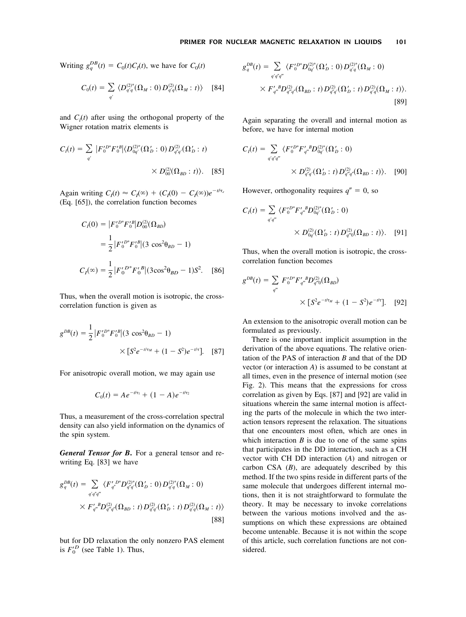Writing  $g_q^{DB}(t) = C_0(t)C_I(t)$ , we have for  $C_0(t)$ 

$$
C_0(t) = \sum_{q'} \langle D_{q'q}^{(2)*} (\Omega_M : 0) D_{q'q}^{(2)} (\Omega_M : t) \rangle \quad [84]
$$

and  $C_l(t)$  after using the orthogonal property of the Wigner rotation matrix elements is

$$
C_I(t) = \sum_{q'} |F_0'^{D*} F_0'^B| \langle D_{0q'}^{(2)*}(\Omega_D': 0) D_{q'q'}^{(2)}(\Omega_D': t) \times D_{00}^{(2)}(\Omega_{BD}: t) \rangle.
$$
 [85]

Again writing  $C_I(t) \approx C_I(\infty) + (C_I(0) - C_I(\infty))e^{-t/\tau_e}$ (Eq. [65]), the correlation function becomes

$$
C_I(0) = |F_0^{\prime D^*} F_0^{\prime B} | D_{00}^{(2)}(\Omega_{BD})
$$
  
=  $\frac{1}{2} |F_0^{\prime D^*} F_0^{\prime B} | (3 \cos^2 \theta_{BD} - 1)$   

$$
C_I(\infty) = \frac{1}{2} |F_0^{\prime D^*} F_0^{\prime B} | (3 \cos^2 \theta_{BD} - 1) S^2.
$$
 [86]

Thus, when the overall motion is isotropic, the crosscorrelation function is given as

$$
g^{DB}(t) = \frac{1}{2} |F_0^{D^*} F_0^{B}| (3 \cos^2 \theta_{BD} - 1)
$$

$$
\times [S^2 e^{-t/\tau_M} + (1 - S^2) e^{-t/\tau}]. \quad [87]
$$

For anisotropic overall motion, we may again use

$$
C_0(t) = Ae^{-t/\tau_1} + (1 - A)e^{-t/\tau_2}
$$

Thus, a measurement of the cross-correlation spectral density can also yield information on the dynamics of the spin system.

*General Tensor for B***.** For a general tensor and rewriting Eq. [83] we have

$$
g_q^{DB}(t) = \sum_{q'q''q''} \langle F'_{q''}^{D} D_{q'q'}^{(2)*} (\Omega_D': 0) D_{q'q}^{(2)*} (\Omega_M: 0) \times F'_{q''}^{B} D_{q''q'}^{(2)} (\Omega_{BD}: t) D_{q'q'}^{(2)} (\Omega_D': t) D_{q'q}^{(2)} (\Omega_M: t) \rangle
$$
\n[88]

but for DD relaxation the only nonzero PAS element is  $F_0^{D}$  (see Table 1). Thus,

$$
g_q^{DB}(t) = \sum_{q'q''q''} \langle F_0'^{D^*} D_{0q'}^{(2)*}(\Omega_D': 0) D_{q'q}^{(2)*}(\Omega_M: 0) \times F_{q'''}^{'} D_{q''q''}^{(2)}(\Omega_{BD}: t) D_{q'q'}^{(2)}(\Omega_D': t) D_{q'q}^{(2)}(\Omega_M: t) \rangle.
$$
\n[89]

Again separating the overall and internal motion as before, we have for internal motion

$$
C_{I}(t) = \sum_{q'q''q''} \langle F'_{0}^{D^{*}} F'_{q''}^{B} D_{0q'}^{(2)*} (\Omega'_{D} : 0)
$$
  
 
$$
\times D_{q''q'}^{(2)} (\Omega'_{D} : t) D_{q''q'}^{(2)} (\Omega_{BD} : t) \rangle. \quad [90]
$$

However, orthogonality requires  $q'' = 0$ , so

$$
C_I(t) = \sum_{q'q''} \langle F_0'^{D*} F_{q''}^{\prime B} D_{0q'}^{(2)*} (\Omega_D : 0)
$$
  
 
$$
\times D_{0q'}^{(2)} (\Omega_D : t) D_{q''0}^{(2)} (\Omega_{BD} : t) \rangle. \quad [91]
$$

Thus, when the overall motion is isotropic, the crosscorrelation function becomes

$$
g^{DB}(t) = \sum_{q''} F_0'^{D^*} F_{q''}^{\ B} D_{q''0}^{(2)}(\Omega_{BD})
$$

$$
\times [S^2 e^{-t/\tau_M} + (1 - S^2) e^{-t/\tau}]. \quad [92]
$$

An extension to the anisotropic overall motion can be formulated as previously.

There is one important implicit assumption in the derivation of the above equations. The relative orientation of the PAS of interaction *B* and that of the DD vector (or interaction *A*) is assumed to be constant at all times, even in the presence of internal motion (see Fig. 2). This means that the expressions for cross correlation as given by Eqs. [87] and [92] are valid in situations wherein the same internal motion is affecting the parts of the molecule in which the two interaction tensors represent the relaxation. The situations that one encounters most often, which are ones in which interaction  $B$  is due to one of the same spins that participates in the DD interaction, such as a CH vector with CH DD interaction (*A*) and nitrogen or carbon CSA (*B*), are adequately described by this method. If the two spins reside in different parts of the same molecule that undergoes different internal motions, then it is not straightforward to formulate the theory. It may be necessary to invoke correlations between the various motions involved and the assumptions on which these expressions are obtained become untenable. Because it is not within the scope of this article, such correlation functions are not considered.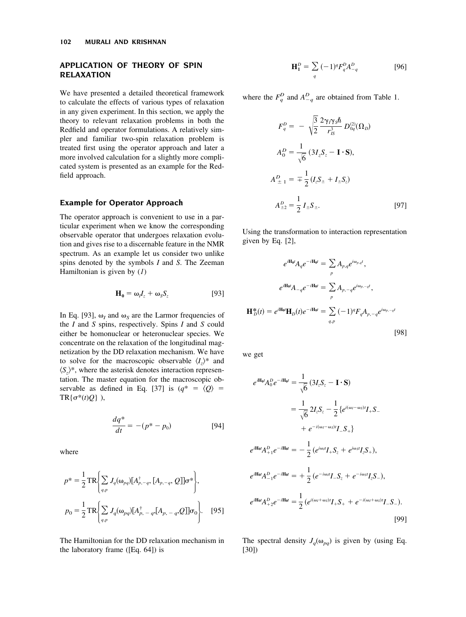# **APPLICATION OF THEORY OF SPIN RELAXATION**

We have presented a detailed theoretical framework to calculate the effects of various types of relaxation in any given experiment. In this section, we apply the theory to relevant relaxation problems in both the Redfield and operator formulations. A relatively simpler and familiar two-spin relaxation problem is treated first using the operator approach and later a more involved calculation for a slightly more complicated system is presented as an example for the Redfield approach.

#### **Example for Operator Approach**

The operator approach is convenient to use in a particular experiment when we know the corresponding observable operator that undergoes relaxation evolution and gives rise to a discernable feature in the NMR spectrum. As an example let us consider two unlike spins denoted by the symbols *I* and *S*. The Zeeman Hamiltonian is given by (*1*)

$$
\mathbf{H}_0 = \omega_I I_z + \omega_S S_z \tag{93}
$$

In Eq. [93],  $\omega_l$  and  $\omega_s$  are the Larmor frequencies of the *I* and *S* spins, respectively. Spins *I* and *S* could either be homonuclear or heteronuclear species. We concentrate on the relaxation of the longitudinal magnetization by the DD relaxation mechanism. We have to solve for the macroscopic observable  $\langle I_z \rangle^*$  and  $\langle S_z \rangle^*$ , where the asterisk denotes interaction representation. The master equation for the macroscopic observable as defined in Eq. [37] is  $(q^* = \langle Q \rangle)$  $TR{\lbrace \sigma^*(t)Q \rbrace}$ ,

$$
\frac{dq^*}{dt} = -(p^* - p_0)
$$
 [94]

where

$$
p^* = \frac{1}{2} \text{TR} \Biggl\{ \sum_{q,p} J_q(\omega_{pq}) [A_{p,-q}^\dagger, [A_{p,-q}, Q]] \sigma^* \Biggr\},
$$
  

$$
p_0 = \frac{1}{2} \text{TR} \Biggl\{ \sum_{q,p} J_q(\omega_{pq}) [A_{p,-q}^\dagger, [A_{p,-q}, Q]] \sigma_0 \Biggr\}.
$$
 [95]

The Hamiltonian for the DD relaxation mechanism in the laboratory frame ([Eq. 64]) is

$$
\mathbf{H}_1^D = \sum_{q} (-1)^q F_q^D A_{-q}^D \tag{96}
$$

where the  $F_q^D$  and  $A_{-q}^D$  are obtained from Table 1.

$$
F_q^D = -\sqrt{\frac{3}{2}} \frac{2\gamma_f \gamma_s \hbar}{r_{IS}^3} D_{0q}^{(2)}(\Omega_D)
$$
  
\n
$$
A_0^D = \frac{1}{\sqrt{6}} (3I_z S_z - \mathbf{I} \cdot \mathbf{S}),
$$
  
\n
$$
A_{\pm 1}^D = \pm \frac{1}{2} (I_z S_{\pm} + I_{\pm} S_z)
$$
  
\n
$$
A_{\pm 2}^D = \frac{1}{2} I_{\pm} S_{\pm}.
$$
 [97]

Using the transformation to interaction representation given by Eq. [2],

$$
e^{i\mathbf{H}_{0}t}A_{q}e^{-i\mathbf{H}_{0}t} = \sum_{p} A_{p,q}e^{i\omega_{p,q}t},
$$

$$
e^{i\mathbf{H}_{0}t}A_{-q}e^{-i\mathbf{H}_{0}t} = \sum_{p} A_{p,-q}e^{i\omega_{p,-q}t},
$$

$$
\mathbf{H}_{D}^{*}(t) = e^{i\mathbf{H}_{0}t}\mathbf{H}_{D}(t)e^{-i\mathbf{H}_{0}t} = \sum_{q,p} (-1)^{q}F_{q}A_{p,-q}e^{i\omega_{p,-q}t}
$$
[98]

we get

$$
e^{i\mathbf{H}_{0}t}A_{0}^{D}e^{-i\mathbf{H}_{0}t} = \frac{1}{\sqrt{6}}(3I_{z}S_{z} - \mathbf{I} \cdot \mathbf{S})
$$
  
\n
$$
= \frac{1}{\sqrt{6}}2I_{z}S_{z} - \frac{1}{2}\left\{e^{i(\omega_{I}-\omega_{S})t}I_{+}S_{-} + e^{-i(\omega_{I}-\omega_{S})t}I_{+}S_{-}\right\}
$$
  
\n
$$
e^{i\mathbf{H}_{0}t}A_{+1}^{D}e^{-i\mathbf{H}_{0}t} = -\frac{1}{2}(e^{i\omega_{I}t}I_{+}S_{z} + e^{i\omega_{S}t}I_{z}S_{+}),
$$
  
\n
$$
e^{i\mathbf{H}_{0}t}A_{-1}^{D}e^{-i\mathbf{H}_{0}t} = +\frac{1}{2}(e^{-i\omega_{I}t}I_{-}S_{z} + e^{-i\omega_{S}t}I_{z}S_{-}),
$$
  
\n
$$
e^{i\mathbf{H}_{0}t}A_{+2}^{D}e^{-i\mathbf{H}_{0}t} = \frac{1}{2}(e^{i(\omega_{I}+\omega_{S})t}I_{+}S_{+} + e^{-i(\omega_{I}+\omega_{S})t}I_{-}S_{-}).
$$
\n[99]

The spectral density  $J_q(\omega_{pq})$  is given by (using Eq. [30])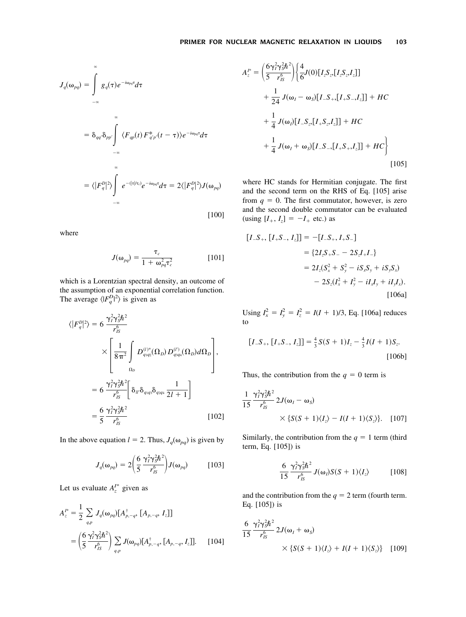$$
J_q(\omega_{pq}) = \int_{-\infty}^{\infty} g_q(\tau) e^{-i\omega_{pq}\tau} d\tau
$$
  

$$
= \delta_{qq'} \delta_{pp'} \int_{-\infty}^{\infty} \langle F_{qp}(t) F_{q'p'}^*(t-\tau) \rangle e^{-i\omega_{pq}\tau} d\tau
$$
  

$$
= \langle |F_q^D|^2 \rangle \int_{-\infty}^{\infty} e^{-(|\tau|/\tau_c)} e^{-i\omega_{pq}\tau} d\tau = 2 \langle |F_q^D|^2 \rangle J(\omega_{pq})
$$
  
[100]

where

$$
J(\omega_{pq}) = \frac{\tau_c}{1 + \omega_{pq}^2 \tau_c^2}
$$
 [101]

which is a Lorentzian spectral density, an outcome of the assumption of an exponential correlation function. The average  $\langle |F_q^D|^2 \rangle$  is given as

$$
\langle |F_q^D|^2 \rangle = 6 \frac{\gamma_1^2 \gamma_5^2 \hbar^2}{r_B^6} \times \left[ \frac{1}{8\pi^2} \int_{\Omega_{q_1q_2}} D_{q_1q_2}^{(l)*}(\Omega_D) D_{q_3q_4}^{(l')}(\Omega_D) d\Omega_D \right],
$$
  
=  $6 \frac{\gamma_1^2 \gamma_5^2 \hbar^2}{r_B^6} \left[ \delta_{ll'} \delta_{q_1q_3} \delta_{q_2q_4} \frac{1}{2l+1} \right]$   
=  $\frac{6}{5} \frac{\gamma_1^2 \gamma_5^2 \hbar^2}{r_B^6}$  [102]

In the above equation  $l = 2$ . Thus,  $J_q(\omega_{pq})$  is given by

$$
J_q(\omega_{pq}) = 2\left(\frac{6}{5}\frac{\gamma_i^2 \gamma_s^2 \hbar^2}{r_{IS}^6}\right)J(\omega_{pq})
$$
 [103]

Let us evaluate  $A_z^{I*}$  given as

$$
A_{z}^{P} = \frac{1}{2} \sum_{q,p} J_{q}(\omega_{pq}) [A_{p,-q}^{\dagger}, [A_{p,-q}, I_{z}]]
$$
  
=  $\left(\frac{6}{5} \frac{\gamma_{1}^{2} \gamma_{5}^{2} \hbar^{2}}{r_{IS}^{6}}\right) \sum_{q,p} J(\omega_{pq}) [A_{p,-q}^{\dagger}, [A_{p,-q}, I_{z}]].$  [104]

$$
A_z^{I*} = \left(\frac{6\gamma_I^2 \gamma_S^2 \hbar^2}{5 r_{IS}^6}\right) \left\{\frac{4}{6} J(0)[I_z S_{zz} [I_z S_{zz} I_z]]\right.+ \frac{1}{24} J(\omega_I - \omega_S)[I_- S_+ [I_+ S_- I_z]] + HC + \frac{1}{4} J(\omega_I)[I_- S_{zz} [I_+ S_{zz} I_z]] + HC + \frac{1}{4} J(\omega_I + \omega_S)[I_- S_- [I_+ S_+ I_z]] + HC \right\}
$$
[105]

where HC stands for Hermitian conjugate. The first and the second term on the RHS of Eq. [105] arise from  $q = 0$ . The first commutator, however, is zero and the second double commutator can be evaluated (using  $[I_+, I_z] = -I_+$  etc.) as

$$
[I_{-}S_{+}, [I_{+}S_{-}, I_{z}]] = -[I_{-}S_{+}, I_{+}S_{-}]
$$
  

$$
= \{2I_{z}S_{+}S_{-} - 2S_{z}I_{+}I_{-}\}
$$
  

$$
= 2I_{z}(S_{x}^{2} + S_{y}^{2} - iS_{x}S_{y} + iS_{y}S_{x})
$$
  

$$
- 2S_{z}(I_{x}^{2} + I_{y}^{2} - iI_{x}I_{y} + iI_{y}I_{x}).
$$
  
[106a]

Using  $I_x^2 = I_y^2 = I_z^2 = I(I + 1)/3$ , Eq. [106a] reduces to

$$
[I_{-}S_{+}, [I_{+}S_{-}, I_{z}]] = \frac{4}{3}S(S+1)I_{z} - \frac{4}{3}I(I+1)S_{z}.
$$
\n[106b]

Thus, the contribution from the  $q = 0$  term is

$$
\frac{1}{15} \frac{\gamma_I^2 \gamma_S^2 \hbar^2}{r_{IS}^6} 2J(\omega_I - \omega_S)
$$
  
 
$$
\times \{S(S+1)\langle I_z \rangle - I(I+1)\langle S_z \rangle\}. \quad [107]
$$

Similarly, the contribution from the  $q = 1$  term (third term, Eq. [105]) is

$$
\frac{6}{15} \frac{\gamma_I^2 \gamma_S^2 \hbar^2}{r_{IS}^6} J(\omega_I) S(S+1) \langle I_z \rangle \tag{108}
$$

and the contribution from the  $q = 2$  term (fourth term. Eq. [105]) is

$$
\frac{6}{15} \frac{\gamma_I^2 \gamma_S^2 \hbar^2}{r_{IS}^6} 2J(\omega_I + \omega_S)
$$
  
 
$$
\times \{ S(S+1)\langle I_z \rangle + I(I+1)\langle S_z \rangle \} \quad [109]
$$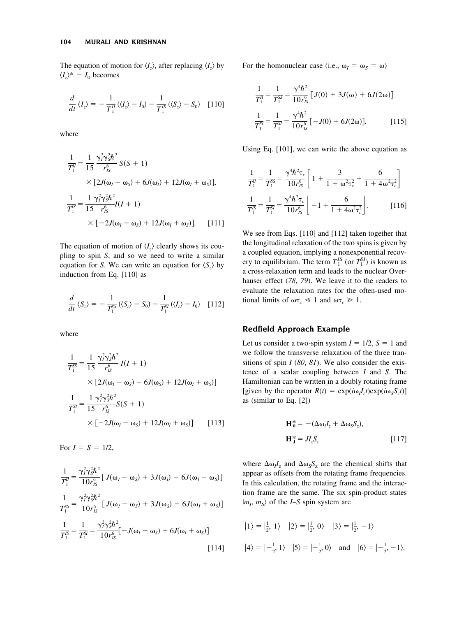The equation of motion for  $\langle I_z \rangle$ , after replacing  $\langle I_z \rangle$  by  $\langle I_z \rangle^* - I_0$  becomes

$$
\frac{d}{dt}\langle I_z\rangle = -\frac{1}{T_1^H}(\langle I_z\rangle - I_0) - \frac{1}{T_1^B}(\langle S_z\rangle - S_0)
$$
 [110]

where

$$
\frac{1}{T_1^{l}} = \frac{1}{15} \frac{\gamma_1^2 \gamma_5^2 \hbar^2}{r_{ls}^6} S(S+1)
$$
  
×  $[2J(\omega_l - \omega_s) + 6J(\omega_l) + 12J(\omega_l + \omega_s)],$   

$$
\frac{1}{T_1^{lS}} = \frac{1}{15} \frac{\gamma_1^2 \gamma_5^2 \hbar^2}{r_{ls}^6} I(I+1)
$$
  
×  $[-2J(\omega_l - \omega_s) + 12J(\omega_l + \omega_s)].$  [111]

The equation of motion of  $\langle I_z \rangle$  clearly shows its coupling to spin *S*, and so we need to write a similar equation for *S*. We can write an equation for  $\langle S_z \rangle$  by induction from Eq. [110] as

$$
\frac{d}{dt}\left\langle S_z\right\rangle = -\frac{1}{T_1^{SS}}\left(\left\langle S_z\right\rangle - S_0\right) - \frac{1}{T_1^{SI}}\left(\left\langle I_z\right\rangle - I_0\right) \quad [112]
$$

where

$$
\frac{1}{T_1^{SS}} = \frac{1}{15} \frac{\gamma_1^2 \gamma_5^2 \hbar^2}{r_{1s}^6} I(I + 1)
$$
  
\$\times [2J(\omega\_I - \omega\_S) + 6J(\omega\_S) + 12J(\omega\_I + \omega\_S)]\$  

$$
\frac{1}{T_1^{SI}} = \frac{1}{15} \frac{\gamma_1^2 \gamma_5^2 \hbar^2}{r_{1s}^6} S(S + 1)
$$
  
\$\times [-2J(\omega\_I - \omega\_S) + 12J(\omega\_I + \omega\_S)]\$ [113]

For  $I = S = 1/2$ ,

$$
\frac{1}{T_1^u} = \frac{\gamma_I^2 \gamma_S^2 \hbar^2}{10 r_{IS}^6} \left[ J(\omega_I - \omega_S) + 3J(\omega_I) + 6J(\omega_I + \omega_S) \right]
$$
  

$$
\frac{1}{T_1^{SS}} = \frac{\gamma_I^2 \gamma_S^2 \hbar^2}{10 r_{IS}^6} \left[ J(\omega_I - \omega_S) + 3J(\omega_S) + 6J(\omega_I + \omega_S) \right]
$$
  

$$
\frac{1}{T_1^{SS}} = \frac{1}{T_1^{SI}} = \frac{\gamma_I^2 \gamma_S^2 \hbar^2}{10 r_{IS}^6} \left[ -J(\omega_I - \omega_S) + 6J(\omega_I + \omega_S) \right]
$$
  
[114]

For the homonuclear case (i.e.,  $\omega_I = \omega_S = \omega$ )

$$
\frac{1}{T_1^{II}} = \frac{1}{T_1^{SS}} = \frac{\gamma^4 \hbar^2}{10 r_{IS}^6} [J(0) + 3J(\omega) + 6J(2\omega)]
$$
  

$$
\frac{1}{T_1^{IS}} = \frac{1}{T_1^{SI}} = \frac{\gamma^4 \hbar^2}{10 r_{IS}^6} [-J(0) + 6J(2\omega)].
$$
 [115]

Using Eq. [101], we can write the above equation as

$$
\frac{1}{T_1^{II}} = \frac{1}{T_1^{SS}} = \frac{\gamma^4 \hbar^2 \tau_c}{10 r_{IS}^6} \left[ 1 + \frac{3}{1 + \omega^2 \tau_c^2} + \frac{6}{1 + 4\omega^2 \tau_c^2} \right]
$$

$$
\frac{1}{T_1^{IS}} = \frac{1}{T_1^{SI}} = \frac{\gamma^4 \hbar^2 \tau_c}{10 r_{IS}^6} \left[ -1 + \frac{6}{1 + 4\omega^2 \tau_c^2} \right].
$$
 [116]

We see from Eqs. [110] and [112] taken together that the longitudinal relaxation of the two spins is given by a coupled equation, implying a nonexponential recovery to equilibrium. The term  $T_1^{IS}$  (or  $T_1^{SI}$ ) is known as a cross-relaxation term and leads to the nuclear Overhauser effect (*78*, *79*). We leave it to the readers to evaluate the relaxation rates for the often-used motional limits of  $\omega \tau_c \ll 1$  and  $\omega \tau_c \gg 1$ .

# **Redfield Approach Example**

Let us consider a two-spin system  $I = 1/2$ ,  $S = 1$  and we follow the transverse relaxation of the three transitions of spin *I* (*80*, *81*). We also consider the existence of a scalar coupling between *I* and *S*. The Hamiltonian can be written in a doubly rotating frame [given by the operator  $R(t) = \exp(i\omega_I I_z t) \exp(i\omega_S S_z t)$ ] as (similar to Eq. [2])

$$
\mathbf{H}_0^* = -(\Delta \omega_I I_z + \Delta \omega_S S_z),
$$
  

$$
\mathbf{H}_J^* = J I_z S_z
$$
 [117]

where  $\Delta \omega_l I_z$  and  $\Delta \omega_s S_z$  are the chemical shifts that appear as offsets from the rotating frame frequencies. In this calculation, the rotating frame and the interaction frame are the same. The six spin-product states  $|m_I, m_S\rangle$  of the *I*–*S* spin system are

$$
|1\rangle = |\frac{1}{2}, 1\rangle
$$
  $|2\rangle = |\frac{1}{2}, 0\rangle$   $|3\rangle = |\frac{1}{2}, -1\rangle$   
 $|4\rangle = |-\frac{1}{2}, 1\rangle$   $|5\rangle = |-\frac{1}{2}, 0\rangle$  and  $|6\rangle = |-\frac{1}{2}, -1\rangle$ .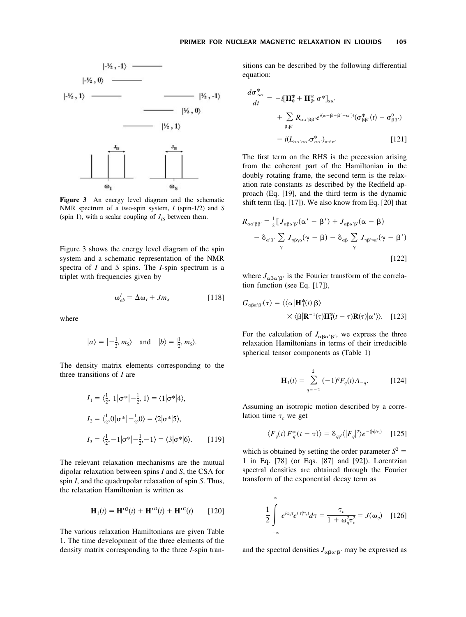

**Figure 3** An energy level diagram and the schematic NMR spectrum of a two-spin system, *I* (spin-1/2) and *S* (spin 1), with a scalar coupling of  $J_{IS}$  between them.

Figure 3 shows the energy level diagram of the spin system and a schematic representation of the NMR spectra of *I* and *S* spins. The *I*-spin spectrum is a triplet with frequencies given by

$$
\omega_{ab}^I = \Delta \omega_I + J m_S \qquad [118]
$$

where

$$
|a\rangle = \left|-\frac{1}{2}, m_S\right\rangle
$$
 and  $|b\rangle = \left|\frac{1}{2}, m_S\right\rangle$ .

The density matrix elements corresponding to the three transitions of *I* are

$$
I_1 = \langle \frac{1}{2}, 1 | \sigma^* | -\frac{1}{2}, 1 \rangle = \langle 1 | \sigma^* | 4 \rangle,
$$
  
\n
$$
I_2 = \langle \frac{1}{2}, 0 | \sigma^* | -\frac{1}{2}, 0 \rangle = \langle 2 | \sigma^* | 5 \rangle,
$$
  
\n
$$
I_3 = \langle \frac{1}{2}, -1 | \sigma^* | -\frac{1}{2}, -1 \rangle = \langle 3 | \sigma^* | 6 \rangle.
$$
 [119]

The relevant relaxation mechanisms are the mutual dipolar relaxation between spins *I* and *S*, the CSA for spin *I*, and the quadrupolar relaxation of spin *S*. Thus, the relaxation Hamiltonian is written as

$$
\mathbf{H}_1(t) = \mathbf{H}'^{\mathcal{Q}}(t) + \mathbf{H}'^{\mathcal{D}}(t) + \mathbf{H}'^{\mathcal{C}}(t) \qquad [120]
$$

The various relaxation Hamiltonians are given Table 1. The time development of the three elements of the density matrix corresponding to the three *I*-spin transitions can be described by the following differential equation:

$$
\frac{d\sigma_{\alpha\alpha'}^*}{dt} = -i[\mathbf{H}_0^* + \mathbf{H}_J^*, \sigma^*]_{\alpha\alpha'} + \sum_{\beta,\beta'} R_{\alpha\alpha'\beta\beta'} e^{i(\alpha-\beta+\beta'-\alpha')t} (\sigma_{\beta\beta'}^*(t) - \sigma_{\beta\beta'}^0) - i(L_{\alpha\alpha'\alpha\alpha'}\sigma_{\alpha\alpha'}^*)_{\alpha\neq\alpha'} \qquad [121]
$$

The first term on the RHS is the precession arising from the coherent part of the Hamiltonian in the doubly rotating frame, the second term is the relaxation rate constants as described by the Redfield approach (Eq. [19], and the third term is the dynamic shift term (Eq. [17]). We also know from Eq. [20] that

$$
R_{\alpha\alpha'\beta\beta'} = \frac{1}{2} \left[ J_{\alpha\beta\alpha'\beta'}(\alpha' - \beta') + J_{\alpha\beta\alpha'\beta'}(\alpha - \beta) - \delta_{\alpha'\beta'} \sum_{\gamma} J_{\gamma\beta'\gamma\alpha'}(\gamma - \beta) - \delta_{\alpha\beta} \sum_{\gamma} J_{\gamma\beta'\gamma\alpha'}(\gamma - \beta') \right]
$$
\n[122]

where  $J_{\alpha\beta\alpha'\beta'}$  is the Fourier transform of the correlation function (see Eq. [17]),

$$
G_{\alpha\beta\alpha'\beta'}(\tau) = \langle \langle \alpha | \mathbf{H}_1^*(t) | \beta \rangle
$$
  
 
$$
\times \langle \beta | \mathbf{R}^{-1}(\tau) \mathbf{H}_1^*(t - \tau) \mathbf{R}(\tau) | \alpha' \rangle \rangle. \quad [123]
$$

For the calculation of  $J_{\alpha\beta\alpha'\beta'}$ , we express the three relaxation Hamiltonians in terms of their irreducible spherical tensor components as (Table 1)

$$
\mathbf{H}_1(t) = \sum_{q=-2}^{2} (-1)^q F_q(t) A_{-q}.
$$
 [124]

Assuming an isotropic motion described by a correlation time  $\tau_c$  we get

$$
\langle F_q(t) F_{q'}^*(t-\tau) \rangle = \delta_{qq'} \langle |F_q|^2 \rangle e^{-(|\tau|/\tau_c)} \quad [125]
$$

which is obtained by setting the order parameter  $S^2$  = 1 in Eq. [78] (or Eqs. [87] and [92]). Lorentzian spectral densities are obtained through the Fourier transform of the exponential decay term as

$$
\frac{1}{2}\int_{-\infty}^{\infty}e^{i\omega_{q}\tau}e^{(|\tau|/\tau_{c})}d\tau = \frac{\tau_{c}}{1+\omega_{q}^{2}\tau_{c}^{2}} = J(\omega_{q}) \quad [126]
$$

and the spectral densities  $J_{\alpha\beta\alpha'\beta'}$  may be expressed as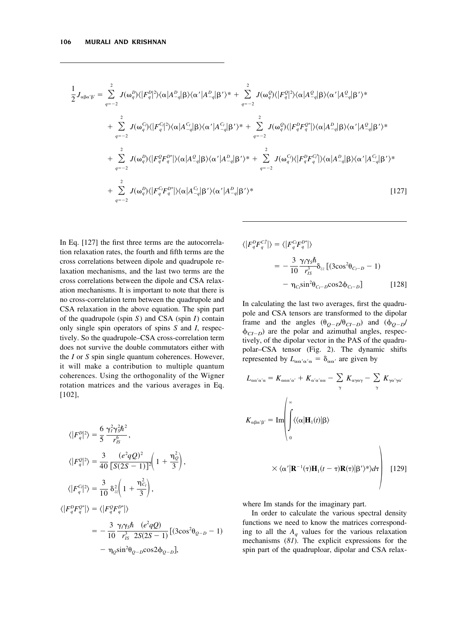$$
\frac{1}{2}J_{\alpha\beta\alpha'\beta'} = \sum_{q=-2}^{2} J(\omega_q^D)\langle|F_q^D|^2\rangle\langle\alpha|A_{-q}^D|\beta\rangle\langle\alpha'|A_{-q}^D|\beta'\rangle^* + \sum_{q=-2}^{2} J(\omega_q^O)\langle|F_q^Q|^2\rangle\langle\alpha|A_{-q}^Q|\beta\rangle\langle\alpha'|A_{-q}^Q|\beta'\rangle^*
$$
\n
$$
+ \sum_{q=-2}^{2} J(\omega_q^C)\langle|F_q^C|^2\rangle\langle\alpha|A_{-q}^C|\beta\rangle\langle\alpha'|A_{-q}^C|\beta'\rangle^* + \sum_{q=-2}^{2} J(\omega_q^O)\langle|F_q^DF_q^Q^*|\rangle\langle\alpha|A_{-q}^D|\beta\rangle\langle\alpha'|A_{-q}^Q|\beta'\rangle^*
$$
\n
$$
+ \sum_{q=-2}^{2} J(\omega_q^D)\langle|F_q^QF_q^{D^*}|\rangle\langle\alpha|A_{-q}^Q|\beta\rangle\langle\alpha'|A_{-q}^D|\beta'\rangle^* + \sum_{q=-2}^{2} J(\omega_q^C)\langle|F_q^DF_q^{C_1^*}|\rangle\langle\alpha|A_{-q}^D|\beta\rangle\langle\alpha'|A_{-q}^C|\beta'\rangle^*
$$
\n
$$
+ \sum_{q=-2}^{2} J(\omega_q^D)\langle|F_q^CF_q^{D^*}|\rangle\langle\alpha|A_{-q}^C|\beta'\rangle\langle\alpha'|A_{-q}^D|\beta'\rangle^*
$$
\n[127]

In Eq. [127] the first three terms are the autocorrelation relaxation rates, the fourth and fifth terms are the cross correlations between dipole and quadrupole relaxation mechanisms, and the last two terms are the cross correlations between the dipole and CSA relaxation mechanisms. It is important to note that there is no cross-correlation term between the quadrupole and CSA relaxation in the above equation. The spin part of the quadrupole (spin *S*) and CSA (spin *I*) contain only single spin operators of spins *S* and *I*, respectively. So the quadrupole–CSA cross-correlation term does not survive the double commutators either with the *I* or *S* spin single quantum coherences. However, it will make a contribution to multiple quantum coherences. Using the orthogonality of the Wigner rotation matrices and the various averages in Eq. [102],

$$
\langle |F_q^D|^2 \rangle = \frac{6}{5} \frac{\gamma_1^2 \gamma_5^2 \hbar^2}{r_{1s}^6},
$$
  
\n
$$
\langle |F_q^Q|^2 \rangle = \frac{3}{40} \frac{(e^2 q Q)^2}{[S(2S - 1)]^2} \left( 1 + \frac{\eta_0^2}{3} \right),
$$
  
\n
$$
\langle |F_q^C|^2 \rangle = \frac{3}{10} \delta_{zz}^2 \left( 1 + \frac{\eta_{C_1}^2}{3} \right),
$$
  
\n
$$
\langle |F_q^D F_q^{Q*} | \rangle = \langle |F_q^Q F_q^{D*} | \rangle
$$
  
\n
$$
= -\frac{3}{10} \frac{\gamma_1 \gamma_5 \hbar (e^2 q Q)}{r_{1s}^3 2S(2S - 1)} [(3\cos^2\theta_{Q - D} - 1) - \eta_{Q} \sin^2\theta_{Q - D} \cos 2\phi_{Q - D}],
$$

$$
\langle |F_q^D F_q^{C^{\dagger}}| \rangle = \langle |F_q^C F_q^D^*| \rangle
$$
  
= 
$$
-\frac{3}{10} \frac{\gamma_1 \gamma_5 \hbar}{r_{15}^3} \delta_{zz} \left[ (3 \cos^2 \theta_{C_I - D} - 1) - \eta_{C_I} \sin^2 \theta_{C_I - D} \cos 2\phi_{C_I - D} \right]
$$
 [128]

In calculating the last two averages, first the quadrupole and CSA tensors are transformed to the dipolar frame and the angles  $(\theta_{Q-D}/\theta_{CI-D})$  and  $(\phi_{Q-D})$  $\phi_{CI-D}$ ) are the polar and azimuthal angles, respectively, of the dipolar vector in the PAS of the quadrupolar–CSA tensor (Fig. 2). The dynamic shifts represented by  $L_{\alpha\alpha'\alpha'\alpha} = \delta_{\alpha\alpha'}$  are given by

$$
L_{\alpha\alpha'\alpha'\alpha} = K_{\alpha\alpha\alpha'\alpha'} + K_{\alpha'\alpha'\alpha\alpha} - \sum_{\gamma} K_{\alpha\gamma\alpha\gamma} - \sum_{\gamma} K_{\gamma\alpha'\gamma\alpha'}
$$

$$
K_{\alpha\beta\alpha'\beta'} = \text{Im}\left(\int_{0}^{\infty} \langle\langle\alpha|\mathbf{H}_{1}(t)|\beta\rangle\right)
$$

$$
\times \langle\alpha'|\mathbf{R}^{-1}(\tau)\mathbf{H}_{1}(t-\tau)\mathbf{R}(\tau)|\beta'\rangle^{*}\rangle d\tau\right) \quad [129]
$$

where Im stands for the imaginary part.

In order to calculate the various spectral density functions we need to know the matrices corresponding to all the  $A_q$  values for the various relaxation mechanisms (*81*). The explicit expressions for the spin part of the quadruploar, dipolar and CSA relax-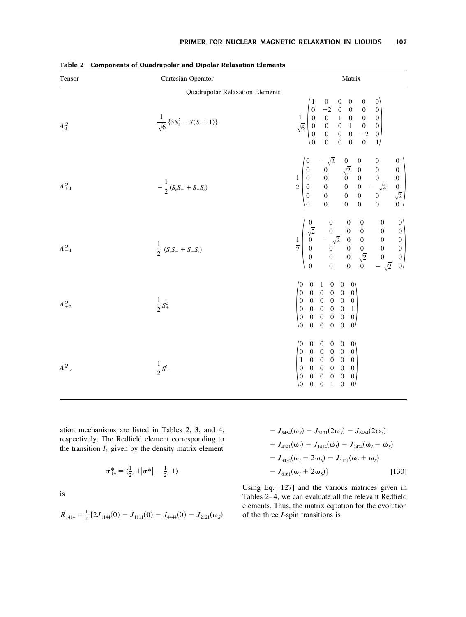| Tensor                 | Cartesian Operator                                                          | Matrix                                                                                                                                                                                                                                                                                                                                                                                    |
|------------------------|-----------------------------------------------------------------------------|-------------------------------------------------------------------------------------------------------------------------------------------------------------------------------------------------------------------------------------------------------------------------------------------------------------------------------------------------------------------------------------------|
|                        | Quadrupolar Relaxation Elements                                             |                                                                                                                                                                                                                                                                                                                                                                                           |
| $A_0^Q$                | $\frac{1}{\sqrt{6}}$ {3S <sub>z</sub> <sup>2</sup> – S(S + 1)}              | $\frac{1}{\sqrt{6}}\begin{pmatrix} 1 & 0 & 0 & 0 & 0 & \cdots \\ 0 & -2 & 0 & 0 & 0 & 0 \\ 0 & 0 & 1 & 0 & 0 & 0 \\ 0 & 0 & 0 & 1 & 0 & 0 \\ 0 & 0 & 0 & 0 & -2 & 0 \\ \alpha & \alpha & 0 & 0 & 0 & 1 \end{pmatrix}$                                                                                                                                                                     |
| $A_{+\,1}^Q$           | $-\frac{1}{2}(S_zS_+ + S_+S_z)$                                             | $\frac{1}{2}\begin{pmatrix} 0 & -\sqrt{2} & 0 & 0 & 0 & 0 \\ 0 & 0 & \sqrt{2} & 0 & 0 & 0 \\ 0 & 0 & 0 & 0 & 0 & 0 \\ 0 & 0 & 0 & 0 & -\sqrt{2} & 0 \\ 0 & 0 & 0 & 0 & 0 & \sqrt{2} \\ 0 & 0 & 0 & 0 & 0 & 0 \end{pmatrix}$                                                                                                                                                               |
| $A_{-1}^\mathcal{Q}$   | $\frac{1}{2}$ (S <sub>z</sub> S <sub>-</sub> + S <sub>-S<sub>z</sub>)</sub> | $\begin{array}{cccccc} 0 & 0 & 0 & 0 & 0 & \sqrt{2} & 0 & 0 & 0 & 0 & 0 \\ \sqrt{2} & 0 & 0 & 0 & 0 & 0 & 0 & 0 & 0 \\ 0 & -\sqrt{2} & 0 & 0 & 0 & 0 & 0 & 0 & 0 \\ 0 & 0 & 0 & 0 & \sqrt{2} & 0 & 0 & 0 & 0 & 0 & 0 \\ 0 & 0 & 0 & 0 & 0 & -\sqrt{2} & 0 & 0 & 0 & 0 \end{array}$<br>$\frac{1}{2}$                                                                                       |
| $A_{+2}^Q$             | $\frac{1}{2}S_{+}^{2}$                                                      | $\begin{pmatrix} 0 & 0 & 1 & 0 & 0 & 0 \ 0 & 0 & 0 & 0 & 0 & 0 \ 0 & 0 & 0 & 0 & 0 & 0 \ 0 & 0 & 0 & 0 & 0 & 1 \ 0 & 0 & 0 & 0 & 0 & 0 \end{pmatrix}$<br>$\boldsymbol{0}$<br>$\boldsymbol{0}$<br>$\overline{0}$<br>$\boldsymbol{0}$<br>$\overline{0}$                                                                                                                                     |
| $A_{-2}^{\mathcal{Q}}$ | $\frac{1}{2}S_{-}^{2}$                                                      | $\begin{pmatrix} 0 & 0 & 0 & 0 & 0 & 0 \\ 0 & 0 & 0 & 0 & 0 & 0 \\ 1 & 0 & 0 & 0 & 0 & 0 \\ 0 & 0 & 0 & 0 & 0 & 0 \\ 0 & 0 & 0 & 0 & 0 & 0 \\ 0 & 0 & 0 & 0 & 0 & 0 \\ 0 & 0 & 0 & 0 & 0 & 0 \\ 0 & 0 & 0 & 0 & 0 & 0 \\ 0 & 0 & 0 & 0 & 0 & 0 \\ 0 & 0 & 0 & 0 & 0 & 0 \\ 0 & 0 & 0 & 0 & 0 & 0 \\ 0 & 0 & 0 & 0 & 0 & $<br>$\overline{0}$<br>$\theta$<br>$\mathbf{0}$<br>$\overline{0}$ |

**Table 2 Components of Quadrupolar and Dipolar Relaxation Elements**

ation mechanisms are listed in Tables 2, 3, and 4, respectively. The Redfield element corresponding to the transition  $I_1$  given by the density matrix element

$$
\sigma_{14}^* = \langle \frac{1}{2}, 1 | \sigma^* | - \frac{1}{2}, 1 \rangle
$$

is

$$
R_{1414} = \frac{1}{2} \left\{ 2J_{1144}(0) - J_{1111}(0) - J_{4444}(0) - J_{2121}(\omega_s) \right\}
$$

$$
- J_{5454}(\omega_S) - J_{3131}(2\omega_S) - J_{6464}(2\omega_S)
$$
  

$$
- J_{4141}(\omega_I) - J_{1414}(\omega_I) - J_{2424}(\omega_I - \omega_S)
$$
  

$$
- J_{3434}(\omega_I - 2\omega_S) - J_{5151}(\omega_I + \omega_S)
$$
  

$$
- J_{6161}(\omega_I + 2\omega_S) \}
$$
 [130]

Using Eq. [127] and the various matrices given in Tables 2–4, we can evaluate all the relevant Redfield elements. Thus, the matrix equation for the evolution of the three *I*-spin transitions is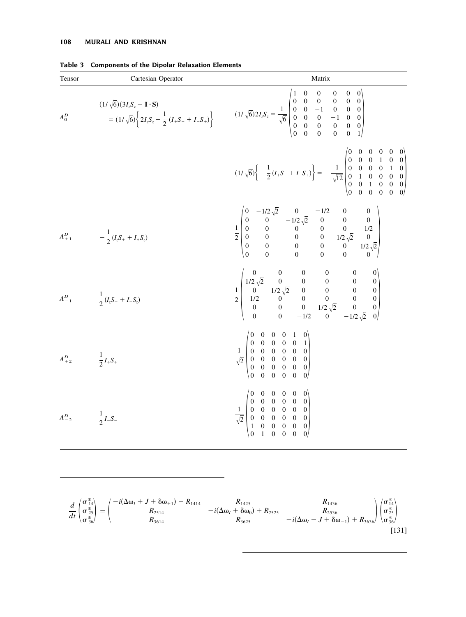| Table 3 Components of the Dipolar Relaxation Elements |  |  |  |  |  |  |  |
|-------------------------------------------------------|--|--|--|--|--|--|--|
|-------------------------------------------------------|--|--|--|--|--|--|--|

<u> 1989 - Johann Stein, marwolaethau a bhann an t-Amhair an t-Amhair an t-Amhair an t-Amhair an t-Amhair an t-A</u>

| Tensor     | Cartesian Operator                                | Matrix                                                                                                                                                                                                                                                                                                                                                                               |
|------------|---------------------------------------------------|--------------------------------------------------------------------------------------------------------------------------------------------------------------------------------------------------------------------------------------------------------------------------------------------------------------------------------------------------------------------------------------|
| $A_0^D$    | $(1/\sqrt{6})(3I_zS_z-\mathbf{I}\cdot\mathbf{S})$ | $\begin{aligned} &\sqrt{6}(3I_zS_z - \mathbf{I} \cdot \mathbf{S}) \\ &= (1/\sqrt{6})\bigg\{2I_zS_z - \frac{1}{2}(I_+S_- + I_-S_+)\bigg\} \end{aligned}$ $\begin{aligned} &\qquad(1/\sqrt{6})2I_zS_z = \frac{1}{\sqrt{6}}\begin{pmatrix} 1 & 0 & 0 & 0 & 0 & 0 \\ 0 & 0 & 0 & 0 & 0 & 0 \\ 0 & 0 & -1 & 0 & 0 & 0 \\ 0 & 0 & 0 & 0 & 0 & 0 \\ 0 & 0 & 0 & 0 & 0 & 0 \\ 0 & 0 & 0 & 0$ |
|            |                                                   | $(1/\sqrt{6})\left\{-\frac{1}{2}(I_{+}S_{-}+I_{-}S_{+})\right\} = -\frac{1}{\sqrt{12}}\begin{pmatrix} 0 & 0 & 0 & 0 & 0 & 0 \\ 0 & 0 & 0 & 1 & 0 & 0 \\ 0 & 0 & 0 & 0 & 1 & 0 \\ 0 & 1 & 0 & 0 & 0 & 0 \\ 0 & 0 & 1 & 0 & 0 & 0 \\ 0 & 0 & 0 & 0 & 0 & 0 \end{pmatrix}$                                                                                                              |
| $A^D_{+1}$ | $-\frac{1}{2}(I_zS_+ + I_+S_z)$                   | $\frac{1}{2} \begin{pmatrix} 0 & -1/2 \sqrt{2} & 0 & -1/2 & 0 & 0 \\ 0 & 0 & -1/2 \sqrt{2} & 0 & 0 & 0 \\ 0 & 0 & 0 & 0 & 0 & 1/2 \\ 0 & 0 & 0 & 0 & 1/2 \sqrt{2} & 0 \\ 0 & 0 & 0 & 0 & 0 & 1/2 \sqrt{2} \\ 0 & 0 & 0 & 0 & 0 & 0 \end{pmatrix}$                                                                                                                                    |
| $A_{-1}^D$ | $\frac{1}{2}(I_zS_- + I_-S_z)$                    | $\frac{1}{2} \begin{pmatrix} 0 & 0 & 0 & 0 & 0 & 0 & 0 \\ 1/2\sqrt{2} & 0 & 0 & 0 & 0 & 0 \\ 0 & 1/2\sqrt{2} & 0 & 0 & 0 & 0 \\ 1/2 & 0 & 0 & 0 & 0 & 0 \\ 0 & 0 & 0 & 1/2\sqrt{2} & 0 & 0 \\ 0 & 0 & -1/2 & 0 & -1/2\sqrt{2} & 0 \end{pmatrix}$                                                                                                                                     |
| $A_{+2}^D$ | $\frac{1}{2}I_{+}S_{+}$                           | $\begin{array}{c cccc} & 0 & 0 & 0 & 0 & 1 & 0 \\ 0 & 0 & 0 & 0 & 0 & 1 \\ \hline 1 & 0 & 0 & 0 & 0 & 0 \\ \hline \sqrt{2} & 0 & 0 & 0 & 0 & 0 \\ 0 & 0 & 0 & 0 & 0 & 0 \\ \end{array}$                                                                                                                                                                                              |
| $A_{-2}^D$ | $\frac{1}{2} L S_-$                               | $\frac{1}{\sqrt{2}}\begin{pmatrix} 0 & 0 & 0 & 0 & 0 & 0 \\ 0 & 0 & 0 & 0 & 0 & 0 \\ 0 & 0 & 0 & 0 & 0 & 0 \\ 0 & 0 & 0 & 0 & 0 & 0 \\ 1 & 0 & 0 & 0 & 0 & 0 \\ 0 & 1 & 0 & 0 & 0 & 0 \\ 0 & 1 & 0 & 0 & 0 & 0 \\ \end{pmatrix}$                                                                                                                                                     |

$$
\frac{d}{dt}\begin{pmatrix} \sigma_{14}^* \\ \sigma_{25}^* \\ \sigma_{36}^* \end{pmatrix} = \begin{pmatrix} -i(\Delta\omega_I + J + \delta\omega_{+1}) + R_{1414} & R_{1425} & R_{1436} \\ R_{2514} & -i(\Delta\omega_I + \delta\omega_0) + R_{2525} & R_{2536} \\ R_{3614} & R_{3625} & -i(\Delta\omega_I - J + \delta\omega_{-1}) + R_{3636} \end{pmatrix} \begin{pmatrix} \sigma_{14}^* \\ \sigma_{25}^* \\ \sigma_{36}^* \end{pmatrix}
$$
 [131]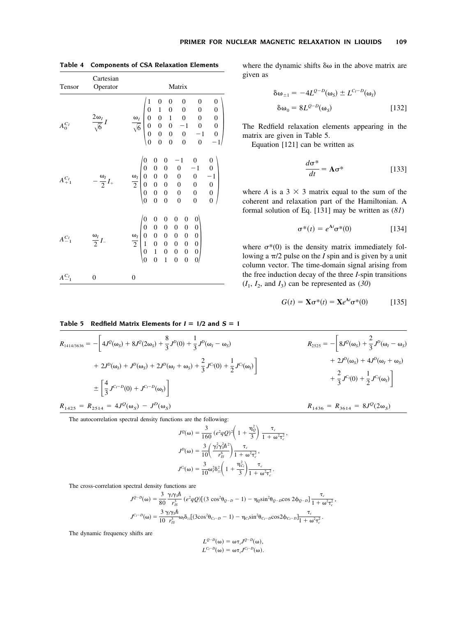| Tensor         | Cartesian<br>Operator         | Matrix                                                                                                                                                                                                                                                                                                                                                                                        |
|----------------|-------------------------------|-----------------------------------------------------------------------------------------------------------------------------------------------------------------------------------------------------------------------------------------------------------------------------------------------------------------------------------------------------------------------------------------------|
| $A_0^{C_I}$    | $\frac{2\omega_I}{\sqrt{6}}I$ | $\begin{array}{c cccc} & 1 & 0 & 0 & 0 \\ & 0 & 1 & 0 & 0 \\ \hline \mbox{ } & 0 & 0 & 1 & 0 \\ \hline \mbox{ } & 0 & 0 & 0 & -1 \\ \hline \mbox{ } & 0 & 0 & 0 & 0 \\ \mbox{ } & 0 & 0 & 0 & 0 \\ \end{array}$<br>$\boldsymbol{0}$<br>$\boldsymbol{0}$<br>$\begin{matrix}0\0\0\end{matrix}$<br>$\begin{bmatrix} 0 & 0 \ 0 & 0 \ -1 & 0 \end{bmatrix}$<br>$\overline{0}$<br>$-1$              |
|                | $-\frac{\omega_I}{2}I_+$      | $\begin{array}{c cccc} & 0 & 0 & 0 & -1 & 0 \\ & 0 & 0 & 0 & 0 & -1 \\ \hline 0 & 0 & 0 & 0 & 0 \\ & 0 & 0 & 0 & 0 & 0 \\ & 0 & 0 & 0 & 0 & 0 \\ & 0 & 0 & 0 & 0 & 0 \\ & 0 & 0 & 0 & 0 & 0 \\ \end{array}$<br>$\boldsymbol{0}$<br>$\begin{bmatrix} 0 \\ -1 \\ 0 \\ 0 \\ 0 \end{bmatrix}$                                                                                                     |
| $A_{-1}^{C_I}$ | $\frac{\omega_I}{2}I_{-}$     | $\begin{array}{c cccc} & 0 & 0 & 0 & 0 \\ \hline 0 & 0 & 0 & 0 & 0 \\ \hline 0 & 0 & 0 & 0 & 0 \\ \hline 1 & 0 & 0 & 0 & 0 \\ 0 & 1 & 0 & 0 & 0 \\ \hline \end{array}$<br>$\mathbf{0}$<br>0<br>$\begin{array}{c} 0 \\ 0 \\ 0 \\ 0 \end{array}$<br>$\begin{matrix}0\0\0\0\end{matrix}$<br>$\overline{0}$<br>$\mathbf{1}$<br>$\overline{0}$<br>$\overline{0}$<br>$\mathbf{0}$<br>$\overline{0}$ |
|                | 0                             | $\boldsymbol{0}$                                                                                                                                                                                                                                                                                                                                                                              |

**Table 4 Components of CSA Relaxation Elements**

where the dynamic shifts  $\delta\omega$  in the above matrix are given as

$$
\delta \omega_{\pm 1} = -4L^{Q-D}(\omega_{S}) \pm L^{C_{I}-D}(\omega_{I})
$$

$$
\delta \omega_{0} = 8L^{Q-D}(\omega_{S})
$$
 [132]

The Redfield relaxation elements appearing in the matrix are given in Table 5.

Equation [121] can be written as

$$
\frac{d\sigma^*}{dt} = \mathbf{A}\sigma^* \tag{133}
$$

where *A* is a  $3 \times 3$  matrix equal to the sum of the coherent and relaxation part of the Hamiltonian. A formal solution of Eq. [131] may be written as (*81*)

$$
\sigma^*(t) = e^{\mathbf{A}t} \sigma^*(0) \tag{134}
$$

where  $\sigma^*(0)$  is the density matrix immediately following a  $\pi/2$  pulse on the *I* spin and is given by a unit column vector. The time-domain signal arising from the free induction decay of the three *I*-spin transitions  $(I_1, I_2, \text{ and } I_3)$  can be represented as  $(30)$ 

$$
G(t) = \mathbf{X}\sigma^*(t) = \mathbf{X}e^{\mathbf{A}t}\sigma^*(0)
$$
 [135]

# $R_{1414/3636} = -\left[4J^Q(\omega_s) + 8J^Q(2\omega_s) + \frac{8}{3}J^D(0) + \frac{1}{3}J^D(\omega_l - \omega_s)\right]$  $+ 2J^{D}(\omega_{I}) + J^{D}(\omega_{S}) + 2J^{D}(\omega_{I} + \omega_{S}) + \frac{2}{3}J^{C_{I}}(0) + \frac{1}{2}J^{C_{I}}(\omega_{I})$  $\pm \left[ \frac{4}{3} J^{C_I - D}(0) + J^{C_I - D}(\omega_I) \right]$  $R_{2525} = -\left[ 8J^{0}(\omega_{s}) + \frac{2}{3}J^{0}(\omega_{I} - \omega_{s}) \right]$  $+ 2J^D(\omega_s) + 4J^D(\omega_I + \omega_s)$  $+\frac{2}{3}J^{C_I}(0) + \frac{1}{2}J^{C_I}(\omega_I)$  $R_{1425} = R_{2514} = 4J^Q(\omega_s) - J^D(\omega_s)$  *R*<sub>1436</sub> *z R*<sub>3614</sub> = 8*J*<sup>Q</sup>(2 $\omega_s$ )

The autocorrelation spectral density functions are the following:

Table 5 Redfield Matrix Elements for  $I = 1/2$  and  $S = 1$ 

$$
J^{0}(\omega) = \frac{3}{160} (e^{2}qQ)^{2} \left( 1 + \frac{\eta_{\hat{c}}^{2}}{3} \right) \frac{\tau_{c}}{1 + \omega^{2} \tau_{c}^{2}},
$$

$$
J^{0}(\omega) = \frac{3}{10} \left( \frac{\gamma_{I}^{2} \gamma_{S}^{2} \hbar^{2}}{r_{S}^{6}} \right) \frac{\tau_{c}}{1 + \omega^{2} \tau_{c}^{2}},
$$

$$
J^{C_{l}}(\omega) = \frac{3}{10} \omega_{I}^{2} \hbar^{2} \left( 1 + \frac{\eta_{C}^{2}}{3} \right) \frac{\tau_{c}}{1 + \omega^{2} \tau_{c}^{2}}.
$$

The cross-correlation spectral density functions are

$$
J^{Q-D}(\omega) = \frac{3}{80} \frac{\gamma_I \gamma_S \hbar}{r_S^3} (e^2 q Q) [(3 \cos^2 \theta_{Q-D} - 1) - \eta_Q \sin^2 \theta_{Q-D} \cos 2\phi_{Q-D}] \frac{\tau_c}{1 + \omega^2 \tau_c^2},
$$
  

$$
J^{C_I-D}(\omega) = \frac{3 \gamma_I \gamma_S \hbar}{10 \tau_{IS}^3} \omega_I \delta_{zz} [(3 \cos^2 \theta_{C_I-D} - 1) - \eta_{C_I} \sin^2 \theta_{C_I-D} \cos 2\phi_{C_I-D}] \frac{\tau_c}{1 + \omega^2 \tau_c^2}.
$$

The dynamic frequency shifts are

$$
L^{Q-D}(\omega) = \omega \tau_c J^{Q-D}(\omega),
$$
  

$$
L^{C_I-D}(\omega) = \omega \tau_c J^{C_I-D}(\omega).
$$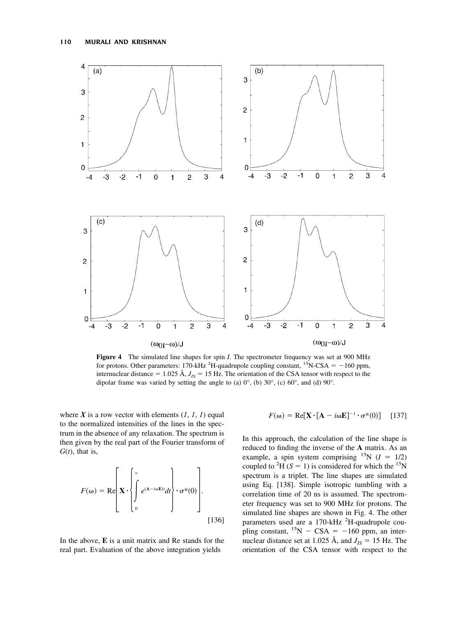

**Figure 4** The simulated line shapes for spin *I*. The spectrometer frequency was set at 900 MHz for protons. Other parameters: 170-kHz <sup>2</sup>H-quadrupole coupling constant, <sup>15</sup>N-CSA = -160 ppm, internuclear distance  $= 1.025$  Å,  $J_{IS} = 15$  Hz. The orientation of the CSA tensor with respect to the dipolar frame was varied by setting the angle to (a)  $0^\circ$ , (b)  $30^\circ$ , (c)  $60^\circ$ , and (d)  $90^\circ$ .

where  $X$  is a row vector with elements  $(1, 1, 1)$  equal to the normalized intensities of the lines in the spectrum in the absence of any relaxation. The spectrum is then given by the real part of the Fourier transform of  $G(t)$ , that is,

$$
F(\omega) = \text{Re}\left[\mathbf{X} \cdot \left\{\int_{0}^{\infty} e^{(\mathbf{A} - i\omega \mathbf{E})t} dt \right\} \cdot \sigma^{*}(0)\right].
$$
\n[136]

In the above, **E** is a unit matrix and Re stands for the real part. Evaluation of the above integration yields

$$
F(\omega) = \text{Re}[\mathbf{X} \cdot [\mathbf{A} - i\omega \mathbf{E}]^{-1} \cdot \sigma^*(0)] \quad [137]
$$

In this approach, the calculation of the line shape is reduced to finding the inverse of the **A** matrix. As an example, a spin system comprising  $^{15}N$  ( $I = 1/2$ ) coupled to <sup>2</sup>H ( $S = 1$ ) is considered for which the <sup>15</sup>N spectrum is a triplet. The line shapes are simulated using Eq. [138]. Simple isotropic tumbling with a correlation time of 20 ns is assumed. The spectrometer frequency was set to 900 MHz for protons. The simulated line shapes are shown in Fig. 4. The other parameters used are a 170-kHz <sup>2</sup>H-quadrupole coupling constant,  ${}^{15}N - \text{CSA} = -160$  ppm, an internuclear distance set at 1.025 Å, and  $J_{IS} = 15$  Hz. The orientation of the CSA tensor with respect to the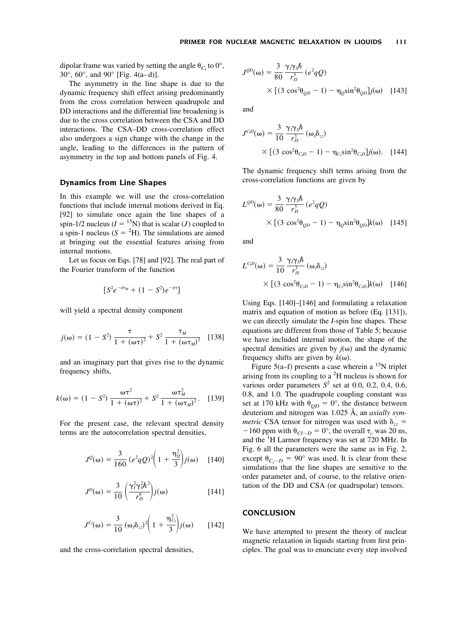dipolar frame was varied by setting the angle  $\theta_{C_I}$  to  $0^\circ$ , 30°, 60°, and 90° [Fig. 4(a–d)].

The asymmetry in the line shape is due to the dynamic frequency shift effect arising predominantly from the cross correlation between quadrupole and DD interactions and the differential line broadening is due to the cross correlation between the CSA and DD interactions. The CSA–DD cross-correlation effect also undergoes a sign change with the change in the angle, leading to the differences in the pattern of asymmetry in the top and bottom panels of Fig. 4.

#### **Dynamics from Line Shapes**

In this example we will use the cross-correlation functions that include internal motions derived in Eq. [92] to simulate once again the line shapes of a spin-1/2 nucleus  $(I = {}^{15}N)$  that is scalar (*J*) coupled to a spin-1 nucleus ( $S = {}^{2}H$ ). The simulations are aimed at bringing out the essential features arising from internal motions.

Let us focus on Eqs. [78] and [92]. The real part of the Fourier transform of the function

$$
[S^2 e^{-t/\tau_M} + (1 - S^2) e^{-t/\tau}]
$$

will yield a spectral density component

$$
j(\omega) = (1 - S^2) \frac{\tau}{1 + (\omega \tau)^2} + S^2 \frac{\tau_M}{1 + (\omega \tau_M)^2}
$$
 [138]

and an imaginary part that gives rise to the dynamic frequency shifts,

$$
k(\omega) = (1 - S^2) \frac{\omega \tau^2}{1 + (\omega \tau)^2} + S^2 \frac{\omega \tau_M^2}{1 + (\omega \tau_M)^2}.
$$
 [139]

For the present case, the relevant spectral density terms are the autocorrelation spectral densities,

$$
J^{Q}(\omega) = \frac{3}{160} (e^{2}qQ)^{2} \bigg( 1 + \frac{\eta_{Q}^{2}}{3} \bigg) j(\omega) \quad [140]
$$

$$
J^{D}(\omega) = \frac{3}{10} \left( \frac{\gamma_I^2 \gamma_S^2 \hbar^2}{r_{IS}^6} \right) j(\omega)
$$
 [141]

$$
J^{C_l}(\omega) = \frac{3}{10} \left( \omega_l \delta_{zz} \right)^2 \left( 1 + \frac{\eta_{C_l}^2}{3} \right) j(\omega) \qquad [142]
$$

and the cross-correlation spectral densities,

$$
J^{QD}(\omega) = \frac{3}{80} \frac{\gamma \gamma_S \hbar}{r_{IS}^3} (e^2 q Q)
$$
  
 
$$
\times [(3 \cos^2 \theta_{QD} - 1) - \eta_Q \sin^2 \theta_{QD}] j(\omega) \quad [143]
$$

and

$$
J^{CD}(\omega) = \frac{3}{10} \frac{\gamma_1 \gamma_3 \hbar}{r_{1S}^3} (\omega_1 \delta_{zz})
$$
  
× [(3 cos<sup>2</sup>θ<sub>C,D</sub> - 1) - η<sub>C</sub> sin<sup>2</sup>θ<sub>C,D</sub>]*j*(ω). [144]

The dynamic frequency shift terms arising from the cross-correlation functions are given by

$$
L^{QD}(\omega) = \frac{3}{80} \frac{\gamma_1 \gamma_3 \hbar}{r_{1S}^3} (e^2 q Q)
$$

$$
\times [(3 \cos^2 \theta_{QD} - 1) - \eta_Q \sin^2 \theta_{QD}] k(\omega) \quad [145]
$$

and

$$
L^{C/D}(\omega) = \frac{3}{10} \frac{\gamma_I \gamma_S \hbar}{r_{IS}^3} (\omega_I \delta_{zz})
$$
  
× [(3 cos<sup>2</sup>θ<sub>CID</sub> - 1) - η<sub>CI</sub> sin<sup>2</sup>θ<sub>CID</sub>]k(ω) [146]

Using Eqs. [140]–[146] and formulating a relaxation matrix and equation of motion as before (Eq. [131]), we can directly simulate the *I*-spin line shapes. These equations are different from those of Table 5; because we have included internal motion, the shape of the spectral densities are given by  $j(\omega)$  and the dynamic frequency shifts are given by  $k(\omega)$ .

Figure 5(a–f) presents a case wherein a  $^{15}N$  triplet arising from its coupling to a  ${}^{2}$ H nucleus is shown for various order parameters  $S^2$  set at 0.0, 0.2, 0.4, 0.6, 0.8, and 1.0. The quadrupole coupling constant was set at 170 kHz with  $\theta_{OD} = 0^{\circ}$ , the distance between deuterium and nitrogen was 1.025 Å, an *axially symmetric* CSA tensor for nitrogen was used with  $\delta_{zz}$  =  $-160$  ppm with  $\theta_{CI-D} = 0^{\circ}$ , the overall  $\tau_c$  was 20 ns, and the <sup>1</sup>H Larmor frequency was set at 720 MHz. In Fig. 6 all the parameters were the same as in Fig. 2, except  $\theta_{C_I - D} = 90^\circ$  was used. It is clear from these simulations that the line shapes are sensitive to the order parameter and, of course, to the relative orientation of the DD and CSA (or quadrupolar) tensors.

#### **CONCLUSION**

We have attempted to present the theory of nuclear magnetic relaxation in liquids starting from first principles. The goal was to enunciate every step involved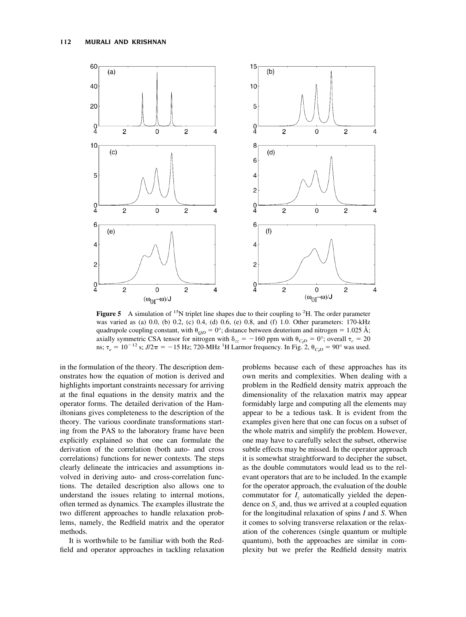

Figure 5 A simulation of <sup>15</sup>N triplet line shapes due to their coupling to <sup>2</sup>H. The order parameter was varied as (a) 0.0, (b) 0.2, (c) 0.4, (d) 0.6, (e) 0.8, and (f) 1.0. Other parameters: 170-kHz quadrupole coupling constant, with  $\theta_{QD} = 0^{\circ}$ ; distance between deuterium and nitrogen = 1.025 Å; axially symmetric CSA tensor for nitrogen with  $\delta_{zz} = -160$  ppm with  $\theta_{C,D} = 0^{\circ}$ ; overall  $\tau_c = 20$ ns;  $\tau_e = 10^{-12}$  s;  $J/2\pi = -15$  Hz; 720-MHz <sup>1</sup>H Larmor frequency. In Fig. 2,  $\theta_{C,D} = 90^\circ$  was used.

in the formulation of the theory. The description demonstrates how the equation of motion is derived and highlights important constraints necessary for arriving at the final equations in the density matrix and the operator forms. The detailed derivation of the Hamiltonians gives completeness to the description of the theory. The various coordinate transformations starting from the PAS to the laboratory frame have been explicitly explained so that one can formulate the derivation of the correlation (both auto- and cross correlations) functions for newer contexts. The steps clearly delineate the intricacies and assumptions involved in deriving auto- and cross-correlation functions. The detailed description also allows one to understand the issues relating to internal motions, often termed as dynamics. The examples illustrate the two different approaches to handle relaxation problems, namely, the Redfield matrix and the operator methods.

It is worthwhile to be familiar with both the Redfield and operator approaches in tackling relaxation problems because each of these approaches has its own merits and complexities. When dealing with a problem in the Redfield density matrix approach the dimensionality of the relaxation matrix may appear formidably large and computing all the elements may appear to be a tedious task. It is evident from the examples given here that one can focus on a subset of the whole matrix and simplify the problem. However, one may have to carefully select the subset, otherwise subtle effects may be missed. In the operator approach it is somewhat straightforward to decipher the subset, as the double commutators would lead us to the relevant operators that are to be included. In the example for the operator approach, the evaluation of the double commutator for  $I<sub>z</sub>$  automatically yielded the dependence on  $S<sub>z</sub>$  and, thus we arrived at a coupled equation for the longitudinal relaxation of spins *I* and *S*. When it comes to solving transverse relaxation or the relaxation of the coherences (single quantum or multiple quantum), both the approaches are similar in complexity but we prefer the Redfield density matrix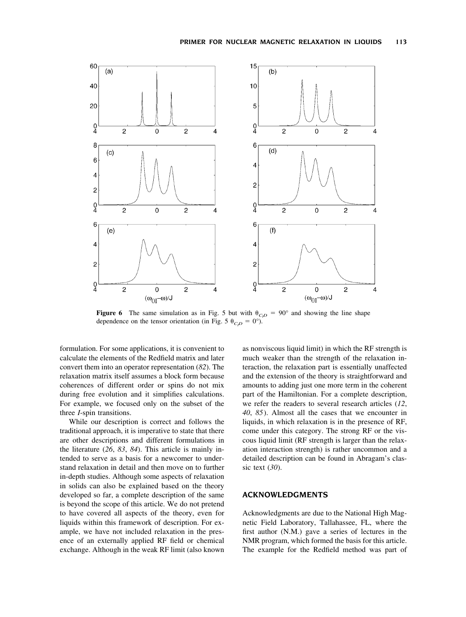

**Figure 6** The same simulation as in Fig. 5 but with  $\theta_{C,D} = 90^{\circ}$  and showing the line shape dependence on the tensor orientation (in Fig. 5  $\theta_{C,D} = 0^{\circ}$ ).

formulation. For some applications, it is convenient to calculate the elements of the Redfield matrix and later convert them into an operator representation (*82*). The relaxation matrix itself assumes a block form because coherences of different order or spins do not mix during free evolution and it simplifies calculations. For example, we focused only on the subset of the three *I*-spin transitions.

While our description is correct and follows the traditional approach, it is imperative to state that there are other descriptions and different formulations in the literature (*26*, *83*, *84*). This article is mainly intended to serve as a basis for a newcomer to understand relaxation in detail and then move on to further in-depth studies. Although some aspects of relaxation in solids can also be explained based on the theory developed so far, a complete description of the same is beyond the scope of this article. We do not pretend to have covered all aspects of the theory, even for liquids within this framework of description. For example, we have not included relaxation in the presence of an externally applied RF field or chemical exchange. Although in the weak RF limit (also known

as nonviscous liquid limit) in which the RF strength is much weaker than the strength of the relaxation interaction, the relaxation part is essentially unaffected and the extension of the theory is straightforward and amounts to adding just one more term in the coherent part of the Hamiltonian. For a complete description, we refer the readers to several research articles (*12*, *40*, *85*). Almost all the cases that we encounter in liquids, in which relaxation is in the presence of RF, come under this category. The strong RF or the viscous liquid limit (RF strength is larger than the relaxation interaction strength) is rather uncommon and a detailed description can be found in Abragam's classic text (*30*).

# **ACKNOWLEDGMENTS**

Acknowledgments are due to the National High Magnetic Field Laboratory, Tallahassee, FL, where the first author (N.M.) gave a series of lectures in the NMR program, which formed the basis for this article. The example for the Redfield method was part of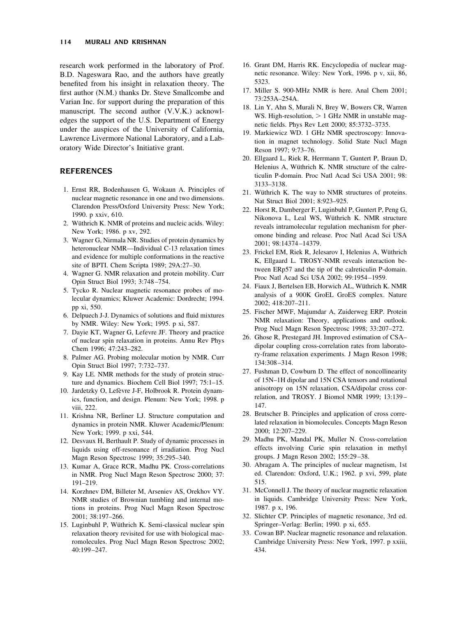research work performed in the laboratory of Prof. B.D. Nageswara Rao, and the authors have greatly benefited from his insight in relaxation theory. The first author (N.M.) thanks Dr. Steve Smallcombe and Varian Inc. for support during the preparation of this manuscript. The second author (V.V.K.) acknowledges the support of the U.S. Department of Energy under the auspices of the University of California, Lawrence Livermore National Laboratory, and a Laboratory Wide Director's Initiative grant.

## **REFERENCES**

- 1. Ernst RR, Bodenhausen G, Wokaun A. Principles of nuclear magnetic resonance in one and two dimensions. Clarendon Press/Oxford University Press: New York; 1990. p xxiv, 610.
- 2. Wüthrich K. NMR of proteins and nucleic acids. Wiley: New York; 1986. p xv, 292.
- 3. Wagner G, Nirmala NR. Studies of protein dynamics by heteronuclear NMR—Individual C-13 relaxation times and evidence for multiple conformations in the reactive site of BPTI. Chem Scripta 1989; 29A:27–30.
- 4. Wagner G. NMR relaxation and protein mobility. Curr Opin Struct Biol 1993; 3:748–754.
- 5. Tycko R. Nuclear magnetic resonance probes of molecular dynamics; Kluwer Academic: Dordrecht; 1994. pp xi, 550.
- 6. Delpuech J-J. Dynamics of solutions and fluid mixtures by NMR. Wiley: New York; 1995. p xi, 587.
- 7. Dayie KT, Wagner G, Lefevre JF. Theory and practice of nuclear spin relaxation in proteins. Annu Rev Phys Chem 1996; 47:243–282.
- 8. Palmer AG. Probing molecular motion by NMR. Curr Opin Struct Biol 1997; 7:732–737.
- 9. Kay LE. NMR methods for the study of protein structure and dynamics. Biochem Cell Biol 1997; 75:1–15.
- 10. Jardetzky O, Lefèvre J-F, Holbrook R. Protein dynamics, function, and design. Plenum: New York; 1998. p viii, 222.
- 11. Krishna NR, Berliner LJ. Structure computation and dynamics in protein NMR. Kluwer Academic/Plenum: New York; 1999. p xxi, 544.
- 12. Desvaux H, Berthault P. Study of dynamic processes in liquids using off-resonance rf irradiation. Prog Nucl Magn Reson Spectrosc 1999; 35:295–340.
- 13. Kumar A, Grace RCR, Madhu PK. Cross-correlations in NMR. Prog Nucl Magn Reson Spectrosc 2000; 37: 191–219.
- 14. Korzhnev DM, Billeter M, Arseniev AS, Orekhov VY. NMR studies of Brownian tumbling and internal motions in proteins. Prog Nucl Magn Reson Spectrosc 2001; 38:197–266.
- 15. Luginbuhl P, Wüthrich K. Semi-classical nuclear spin relaxation theory revisited for use with biological macromolecules. Prog Nucl Magn Reson Spectrosc 2002; 40:199–247.
- 16. Grant DM, Harris RK. Encyclopedia of nuclear magnetic resonance. Wiley: New York, 1996. p v, xii, 86, 5323.
- 17. Miller S. 900-MHz NMR is here. Anal Chem 2001; 73:253A–254A.
- 18. Lin Y, Ahn S, Murali N, Brey W, Bowers CR, Warren WS. High-resolution,  $> 1$  GHz NMR in unstable magnetic fields. Phys Rev Lett 2000; 85:3732–3735.
- 19. Markiewicz WD. 1 GHz NMR spectroscopy: Innovation in magnet technology. Solid State Nucl Magn Reson 1997; 9:73–76.
- 20. Ellgaard L, Riek R, Herrmann T, Guntert P, Braun D, Helenius A, Wüthrich K. NMR structure of the calreticulin P-domain. Proc Natl Acad Sci USA 2001; 98: 3133–3138.
- 21. Wüthrich K. The way to NMR structures of proteins. Nat Struct Biol 2001; 8:923–925.
- 22. Horst R, Damberger F, Luginbuhl P, Guntert P, Peng G, Nikonova L, Leal WS, Wüthrich K. NMR structure reveals intramolecular regulation mechanism for pheromone binding and release. Proc Natl Acad Sci USA 2001; 98:14374–14379.
- 23. Frickel EM, Riek R, Jelesarov I, Helenius A, Wüthrich K, Ellgaard L. TROSY-NMR reveals interaction between ERp57 and the tip of the calreticulin P-domain. Proc Natl Acad Sci USA 2002; 99:1954–1959.
- 24. Fiaux J, Bertelsen EB, Horwich AL, Wüthrich K. NMR analysis of a 900K GroEL GroES complex. Nature 2002; 418:207–211.
- 25. Fischer MWF, Majumdar A, Zuiderweg ERP. Protein NMR relaxation: Theory, applications and outlook. Prog Nucl Magn Reson Spectrosc 1998; 33:207–272.
- 26. Ghose R, Prestegard JH. Improved estimation of CSA– dipolar coupling cross-correlation rates from laboratory-frame relaxation experiments. J Magn Reson 1998; 134:308–314.
- 27. Fushman D, Cowburn D. The effect of noncollinearity of 15N–1H dipolar and 15N CSA tensors and rotational anisotropy on 15N relaxation, CSA/dipolar cross correlation, and TROSY. J Biomol NMR 1999; 13:139– 147.
- 28. Brutscher B. Principles and application of cross correlated relaxation in biomolecules. Concepts Magn Reson 2000; 12:207–229.
- 29. Madhu PK, Mandal PK, Muller N. Cross-correlation effects involving Curie spin relaxation in methyl groups. J Magn Reson 2002; 155:29–38.
- 30. Abragam A. The principles of nuclear magnetism, 1st ed. Clarendon: Oxford, U.K.; 1962. p xvi, 599, plate 515.
- 31. McConnell J. The theory of nuclear magnetic relaxation in liquids. Cambridge University Press: New York, 1987. p x, 196.
- 32. Slichter CP. Principles of magnetic resonance, 3rd ed. Springer–Verlag: Berlin; 1990. p xi, 655.
- 33. Cowan BP. Nuclear magnetic resonance and relaxation. Cambridge University Press: New York, 1997. p xxiii, 434.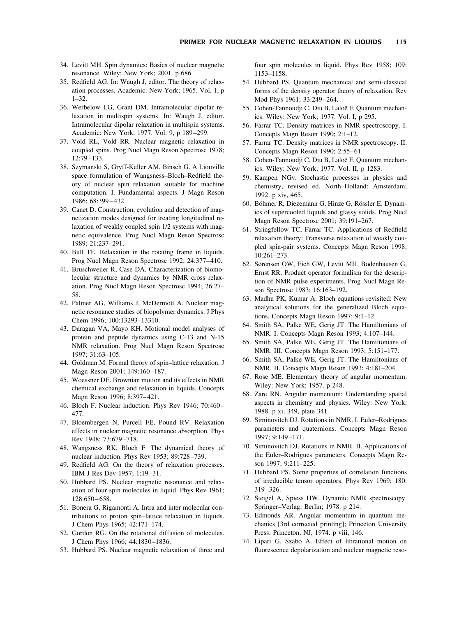- 34. Levitt MH. Spin dynamics: Basics of nuclear magnetic resonance. Wiley: New York; 2001. p 686.
- 35. Redfield AG. In: Waugh J, editor. The theory of relaxation processes. Academic: New York; 1965. Vol. 1, p 1–32.
- 36. Werbelow LG, Grant DM. Intramolecular dipolar relaxation in multispin systems. In: Waugh J, editor. Intramolecular dipolar relaxation in multispin systems. Academic: New York; 1977. Vol. 9, p 189–299.
- 37. Vold RL, Vold RR. Nuclear magnetic relaxation in coupled spins. Prog Nucl Magn Reson Spectrosc 1978; 12:79–133.
- 38. Szymanski S, Gryff-Keller AM, Binsch G. A Liouville space formulation of Wangsness–Bloch–Redfield theory of nuclear spin relaxation suitable for machine computation. I. Fundamental aspects. J Magn Reson 1986; 68:399–432.
- 39. Canet D. Construction, evolution and detection of magnetization modes designed for treating longitudinal relaxation of weakly coupled spin 1/2 systems with magnetic equivalence. Prog Nucl Magn Reson Spectrosc 1989; 21:237–291.
- 40. Bull TE. Relaxation in the rotating frame in liquids. Prog Nucl Magn Reson Spectrosc 1992; 24:377–410.
- 41. Bruschweiler R, Case DA. Characterization of biomolecular structure and dynamics by NMR cross relaxation. Prog Nucl Magn Reson Spectrosc 1994; 26:27– 58.
- 42. Palmer AG, Williams J, McDermott A. Nuclear magnetic resonance studies of biopolymer dynamics. J Phys Chem 1996; 100:13293–13310.
- 43. Daragan VA, Mayo KH. Motional model analyses of protein and peptide dynamics using C-13 and N-15 NMR relaxation. Prog Nucl Magn Reson Spectrosc 1997; 31:63–105.
- 44. Goldman M. Formal theory of spin–lattice relaxation. J Magn Reson 2001; 149:160–187.
- 45. Woessner DE. Brownian motion and its effects in NMR chemical exchange and relaxation in liquids. Concepts Magn Reson 1996; 8:397–421.
- 46. Bloch F. Nuclear induction. Phys Rev 1946; 70:460– 477.
- 47. Bloembergen N, Purcell FE, Pound RV. Relaxation effects in nuclear magnetic resonance absorption. Phys Rev 1948; 73:679–718.
- 48. Wangsness RK, Bloch F. The dynamical theory of nuclear induction. Phys Rev 1953; 89:728–739.
- 49. Redfield AG. On the theory of relaxation processes. IBM J Res Dev 1957; 1:19–31.
- 50. Hubbard PS. Nuclear magnetic resonance and relaxation of four spin molecules in liquid. Phys Rev 1961; 128:650–658.
- 51. Bonera G, Rigamonti A. Intra and inter molecular contributions to proton spin–lattice relaxation in liquids. J Chem Phys 1965; 42:171–174.
- 52. Gordon RG. On the rotational diffusion of molecules. J Chem Phys 1966; 44:1830–1836.
- 53. Hubbard PS. Nuclear magnetic relaxation of three and

four spin molecules in liquid. Phys Rev 1958; 109: 1153–1158.

- 54. Hubbard PS. Quantum mechanical and semi-classical forms of the density operator theory of relaxation. Rev Mod Phys 1961; 33:249–264.
- 55. Cohen-Tannoudji C, Diu B, Laloë F. Quantum mechanics. Wiley: New York; 1977. Vol. I, p 295.
- 56. Farrar TC. Density matrices in NMR spectroscopy. I. Concepts Magn Reson 1990; 2:1–12.
- 57. Farrar TC. Density matrices in NMR spectroscopy. II. Concepts Magn Reson 1990; 2:55–61.
- 58. Cohen-Tannoudji C, Diu B, Laloë F. Quantum mechanics. Wiley: New York; 1977. Vol. II, p 1283.
- 59. Kampen NGv. Stochastic processes in physics and chemistry, revised ed. North–Holland: Amsterdam; 1992. p xiv, 465.
- 60. Böhmer R, Diezemann G, Hinze G, Rössler E. Dynamics of supercooled liquids and glassy solids. Prog Nucl Magn Reson Spectrosc 2001; 39:191–267.
- 61. Stringfellow TC, Farrar TC. Applications of Redfield relaxation theory: Transverse relaxation of weakly coupled spin-pair systems. Concepts Magn Reson 1998; 10:261–273.
- 62. Sørensen OW, Eich GW, Levitt MH, Bodenhausen G, Ernst RR. Product operator formalism for the description of NMR pulse experiments. Prog Nucl Magn Reson Spectrosc 1983; 16:163–192.
- 63. Madhu PK, Kumar A. Bloch equations revisited: New analytical solutions for the generalized Bloch equations. Concepts Magn Reson 1997; 9:1–12.
- 64. Smith SA, Palke WE, Gerig JT. The Hamiltonians of NMR. I. Concepts Magn Reson 1993; 4:107–144.
- 65. Smith SA, Palke WE, Gerig JT. The Hamiltonians of NMR. III. Concepts Magn Reson 1993; 5:151–177.
- 66. Smith SA, Palke WE, Gerig JT. The Hamiltonians of NMR. II. Concepts Magn Reson 1993; 4:181–204.
- 67. Rose ME. Elementary theory of angular momentum. Wiley: New York; 1957. p 248.
- 68. Zare RN. Angular momentum: Understanding spatial aspects in chemistry and physics. Wiley: New York; 1988. p xi, 349, plate 341.
- 69. Siminovitch DJ. Rotations in NMR. I. Euler–Rodrigues parameters and quaternions. Concepts Magn Reson 1997; 9:149–171.
- 70. Siminovitch DJ. Rotations in NMR. II. Applications of the Euler–Rodrigues parameters. Concepts Magn Reson 1997; 9:211–225.
- 71. Hubbard PS. Some properties of correlation functions of irreducible tensor operators. Phys Rev 1969; 180: 319–326.
- 72. Steigel A, Spiess HW. Dynamic NMR spectroscopy. Springer–Verlag: Berlin; 1978. p 214.
- 73. Edmonds AR. Angular momentum in quantum mechanics [3rd corrected printing]; Princeton University Press: Princeton, NJ, 1974. p viii, 146.
- 74. Lipari G, Szabo A. Effect of librational motion on fluorescence depolarization and nuclear magnetic reso-